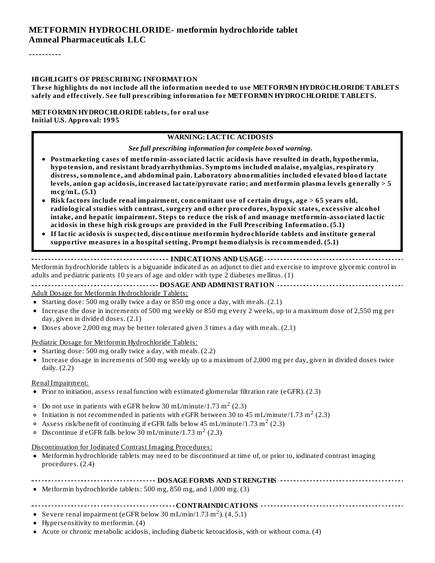#### **METFORMIN HYDROCHLORIDE- metformin hydrochloride tablet Amneal Pharmaceuticals LLC**

----------

#### **HIGHLIGHTS OF PRESCRIBING INFORMATION**

**These highlights do not include all the information needed to use METFORMIN HYDROCHLORIDE TABLETS safely and effectively. See full prescribing information for METFORMIN HYDROCHLORIDE TABLETS.**

#### **METFORMIN HYDROCHLORIDE tablets, for oral use Initial U.S. Approval: 1995**

#### **WARNING: LACTIC ACIDOSIS**

*See full prescribing information for complete boxed warning.*

- **Postmarketing cases of metformin-associated lactic acidosis have resulted in death, hypothermia, hypotension, and resistant bradyarrhythmias. Symptoms included malaise, myalgias, respiratory distress, somnolence, and abdominal pain. Laboratory abnormalities included elevated blood lactate levels, anion gap acidosis, increased lactate/pyruvate ratio; and metformin plasma levels generally > 5 mcg/mL. (5.1)**
- **Risk factors include renal impairment, concomitant use of certain drugs, age > 65 years old, radiological studies with contrast, surgery and other procedures, hypoxic states, excessive alcohol intake, and hepatic impairment. Steps to reduce the risk of and manage metformin-associated lactic acidosis in these high risk groups are provided in the Full Prescribing Information. (5.1)**
- **If lactic acidosis is suspected, discontinue metformin hydrochloride tablets and institute general supportive measures in a hospital setting. Prompt hemodialysis is recommended. (5.1)**

#### **INDICATIONS AND USAGE**

Metformin hydrochloride tablets is a biguanide indicated as an adjunct to diet and exercise to improve glycemic control in adults and pediatric patients 10 years of age and older with type 2 diabetes mellitus. (1)

#### **DOSAGE AND ADMINISTRATION**

Adult Dosage for Metformin Hydrochloride Tablets:

- Starting dose: 500 mg orally twice a day or 850 mg once a day, with meals.  $(2.1)$
- Increase the dose in increments of 500 mg weekly or 850 mg every 2 weeks, up to a maximum dose of 2,550 mg per day, given in divided doses. (2.1)
- Doses above 2,000 mg may be better tolerated given 3 times a day with meals. (2.1)

Pediatric Dosage for Metformin Hydrochloride Tablets:

- Starting dose: 500 mg orally twice a day, with meals. (2.2)
- Increase dosage in increments of 500 mg weekly up to a maximum of 2,000 mg per day, given in divided doses twice daily. (2.2)

#### Renal Impairment:

- Prior to initiation, assess renal function with estimated glomerular filtration rate (eGFR). (2.3)
- Do not use in patients with eGFR below 30 mL/minute/1.73  $\mathrm{m}^2$  (2.3)
- Initiation is not recommended in patients with eGFR between 30 to 45 mL/minute/1.73 m $^2$  (2.3)
- Assess risk/benefit of continuing if eGFR falls below 45 mL/minute/1.73 m<sup>2</sup> (2.3)
- Discontinue if eGFR falls below 30 mL/minute/1.73 m<sup>2</sup> (2.3)

#### Discontinuation for Iodinated Contrast Imaging Procedures:

Metformin hydrochloride tablets may need to be discontinued at time of, or prior to, iodinated contrast imaging procedures. (2.4)

#### **DOSAGE FORMS AND STRENGTHS**

Metformin hydrochloride tablets: 500 mg, 850 mg, and 1,000 mg. (3)

#### **CONTRAINDICATIONS**

- Severe renal impairment (eGFR below 30 mL/min/1.73 m<sup>2</sup>).  $(4, 5.1)$
- Hypersensitivity to metformin. (4)
- Acute or chronic metabolic acidosis, including diabetic ketoacidosis, with or without coma. (4)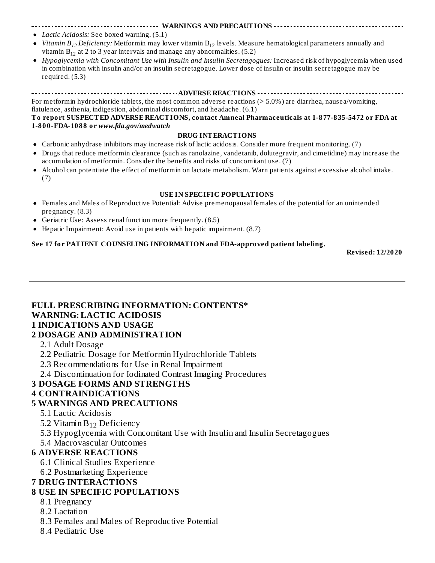#### **WARNINGS AND PRECAUTIONS** *Lactic Acidosis:* See boxed warning. (5.1)

- *Vitamin B<sub>12</sub> Deficiency: M*etformin may lower vitamin B<sub>12</sub> levels. Measure hematological parameters annually and vitamin  $B_{12}$  at 2 to 3 year intervals and manage any abnormalities. (5.2)
- *Hypoglycemia with Concomitant Use with Insulin and Insulin Secretagogues:* Increased risk of hypoglycemia when used  $\bullet$ in combination with insulin and/or an insulin secretagogue. Lower dose of insulin or insulin secretagogue may be required. (5.3)

#### **ADVERSE REACTIONS**

For metformin hydrochloride tablets, the most common adverse reactions (> 5.0%) are diarrhea, nausea/vomiting, flatulence, asthenia, indigestion, abdominal discomfort, and headache. (6.1)

#### **To report SUSPECTED ADVERSE REACTIONS, contact Amneal Pharmaceuticals at 1-877-835-5472 or FDA at 1-800-FDA-1088 or** *www.fda.gov/medwatch*

- **DRUG INTERACTIONS**
- Carbonic anhydrase inhibitors may increase risk of lactic acidosis. Consider more frequent monitoring. (7) Drugs that reduce metformin clearance (such as ranolazine, vandetanib, dolutegravir, and cimetidine) may increase the  $\bullet$ accumulation of metformin. Consider the benefits and risks of concomitant use. (7)
- Alcohol can potentiate the effect of metformin on lactate metabolism. Warn patients against excessive alcohol intake.  $\bullet$ (7)
- **USE IN SPECIFIC POPULATIONS**
- Females and Males of Reproductive Potential: Advise premenopausal females of the potential for an unintended pregnancy. (8.3)
- Geriatric Use: Assess renal function more frequently. (8.5)
- Hepatic Impairment: Avoid use in patients with hepatic impairment. (8.7)

#### **See 17 for PATIENT COUNSELING INFORMATION and FDA-approved patient labeling.**

**Revised: 12/2020**

# **FULL PRESCRIBING INFORMATION: CONTENTS\* WARNING: LACTIC ACIDOSIS 1 INDICATIONS AND USAGE**

#### **2 DOSAGE AND ADMINISTRATION**

- 2.1 Adult Dosage
- 2.2 Pediatric Dosage for Metformin Hydrochloride Tablets
- 2.3 Recommendations for Use in Renal Impairment
- 2.4 Discontinuation for Iodinated Contrast Imaging Procedures

#### **3 DOSAGE FORMS AND STRENGTHS**

#### **4 CONTRAINDICATIONS**

#### **5 WARNINGS AND PRECAUTIONS**

- 5.1 Lactic Acidosis
- 5.2 Vitamin  $B_{12}$  Deficiency
- 5.3 Hypoglycemia with Concomitant Use with Insulin and Insulin Secretagogues
- 5.4 Macrovascular Outcomes

#### **6 ADVERSE REACTIONS**

- 6.1 Clinical Studies Experience
- 6.2 Postmarketing Experience

#### **7 DRUG INTERACTIONS**

#### **8 USE IN SPECIFIC POPULATIONS**

- 8.1 Pregnancy
- 8.2 Lactation
- 8.3 Females and Males of Reproductive Potential
- 8.4 Pediatric Use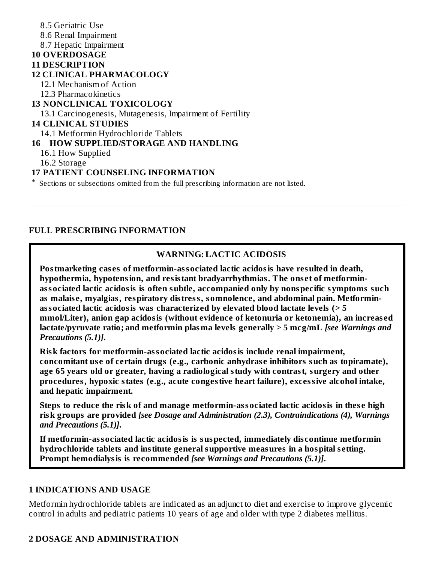8.5 Geriatric Use 8.6 Renal Impairment 8.7 Hepatic Impairment **10 OVERDOSAGE 11 DESCRIPTION 12 CLINICAL PHARMACOLOGY** 12.1 Mechanism of Action 12.3 Pharmacokinetics **13 NONCLINICAL TOXICOLOGY** 13.1 Carcinogenesis, Mutagenesis, Impairment of Fertility **14 CLINICAL STUDIES** 14.1 Metformin Hydrochloride Tablets **16 HOW SUPPLIED/STORAGE AND HANDLING** 16.1 How Supplied 16.2 Storage **17 PATIENT COUNSELING INFORMATION** \* Sections or subsections omitted from the full prescribing information are not listed.

#### **FULL PRESCRIBING INFORMATION**

#### **WARNING: LACTIC ACIDOSIS**

**Postmarketing cas es of metformin-associated lactic acidosis have resulted in death, hypothermia, hypotension, and resistant bradyarrhythmias. The ons et of metforminassociated lactic acidosis is often subtle, accompanied only by nonspecific symptoms such as malais e, myalgias, respiratory distress, somnolence, and abdominal pain. Metforminassociated lactic acidosis was characterized by elevated blood lactate levels (> 5 mmol/Liter), anion gap acidosis (without evidence of ketonuria or ketonemia), an increas ed lactate/pyruvate ratio; and metformin plasma levels generally > 5 mcg/mL** *[see Warnings and Precautions (5.1)]***.**

**Risk factors for metformin-associated lactic acidosis include renal impairment, concomitant us e of certain drugs (e.g., carbonic anhydras e inhibitors such as topiramate), age 65 years old or greater, having a radiological study with contrast, surgery and other procedures, hypoxic states (e.g., acute congestive heart failure), excessive alcohol intake, and hepatic impairment.**

**Steps to reduce the risk of and manage metformin-associated lactic acidosis in thes e high risk groups are provided** *[see Dosage and Administration (2.3), Contraindications (4), Warnings and Precautions (5.1)]***.**

**If metformin-associated lactic acidosis is suspected, immediately dis continue metformin hydrochloride tablets and institute general supportive measures in a hospital s etting. Prompt hemodialysis is recommended** *[see Warnings and Precautions (5.1)]***.**

#### **1 INDICATIONS AND USAGE**

Metformin hydrochloride tablets are indicated as an adjunct to diet and exercise to improve glycemic control in adults and pediatric patients 10 years of age and older with type 2 diabetes mellitus.

#### **2 DOSAGE AND ADMINISTRATION**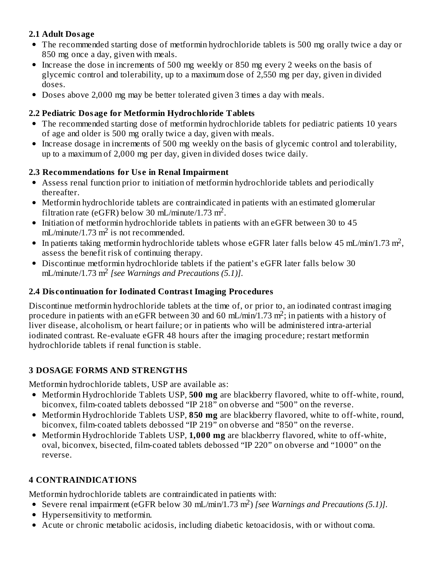### **2.1 Adult Dosage**

- The recommended starting dose of metformin hydrochloride tablets is 500 mg orally twice a day or 850 mg once a day, given with meals.
- Increase the dose in increments of 500 mg weekly or 850 mg every 2 weeks on the basis of glycemic control and tolerability, up to a maximum dose of 2,550 mg per day, given in divided doses.
- Doses above 2,000 mg may be better tolerated given 3 times a day with meals.

### **2.2 Pediatric Dosage for Metformin Hydrochloride Tablets**

- The recommended starting dose of metformin hydrochloride tablets for pediatric patients 10 years of age and older is 500 mg orally twice a day, given with meals.
- Increase dosage in increments of 500 mg weekly on the basis of glycemic control and tolerability, up to a maximum of 2,000 mg per day, given in divided doses twice daily.

# **2.3 Recommendations for Us e in Renal Impairment**

- Assess renal function prior to initiation of metformin hydrochloride tablets and periodically thereafter.
- Metformin hydrochloride tablets are contraindicated in patients with an estimated glomerular filtration rate (eGFR) below 30 mL/minute/1.73 m<sup>2</sup>.
- Initiation of metformin hydrochloride tablets in patients with an eGFR between 30 to 45  $mL/minute/1.73 m<sup>2</sup>$  is not recommended.
- In patients taking metformin hydrochloride tablets whose eGFR later falls below 45 mL/min/1.73 m<sup>2</sup>, assess the benefit risk of continuing therapy.
- Discontinue metformin hydrochloride tablets if the patient's eGFR later falls below 30 mL/minute/1.73 m<sup>2</sup> [see Warnings and Precautions (5.1)].

# **2.4 Dis continuation for Iodinated Contrast Imaging Procedures**

Discontinue metformin hydrochloride tablets at the time of, or prior to, an iodinated contrast imaging procedure in patients with an eGFR between 30 and 60 mL/min/1.73 m<sup>2</sup>; in patients with a history of liver disease, alcoholism, or heart failure; or in patients who will be administered intra-arterial iodinated contrast. Re-evaluate eGFR 48 hours after the imaging procedure; restart metformin hydrochloride tablets if renal function is stable.

# **3 DOSAGE FORMS AND STRENGTHS**

Metformin hydrochloride tablets, USP are available as:

- Metformin Hydrochloride Tablets USP, **500 mg** are blackberry flavored, white to off-white, round, biconvex, film-coated tablets debossed "IP 218" on obverse and "500" on the reverse.
- Metformin Hydrochloride Tablets USP, **850 mg** are blackberry flavored, white to off-white, round, biconvex, film-coated tablets debossed "IP 219" on obverse and "850" on the reverse.
- Metformin Hydrochloride Tablets USP, **1,000 mg** are blackberry flavored, white to off-white, oval, biconvex, bisected, film-coated tablets debossed "IP 220" on obverse and "1000" on the reverse.

# **4 CONTRAINDICATIONS**

Metformin hydrochloride tablets are contraindicated in patients with:

- Severe renal impairment (eGFR below 30 mL/min/1.73 m<sup>2</sup>) [see Warnings and Precautions (5.1)].
- Hypersensitivity to metformin.
- Acute or chronic metabolic acidosis, including diabetic ketoacidosis, with or without coma.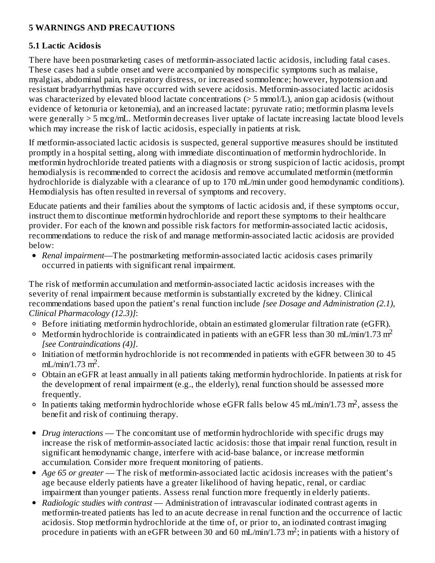# **5 WARNINGS AND PRECAUTIONS**

#### **5.1 Lactic Acidosis**

There have been postmarketing cases of metformin-associated lactic acidosis, including fatal cases. These cases had a subtle onset and were accompanied by nonspecific symptoms such as malaise, myalgias, abdominal pain, respiratory distress, or increased somnolence; however, hypotension and resistant bradyarrhythmias have occurred with severe acidosis. Metformin-associated lactic acidosis was characterized by elevated blood lactate concentrations (> 5 mmol/L), anion gap acidosis (without evidence of ketonuria or ketonemia), and an increased lactate: pyruvate ratio; metformin plasma levels were generally > 5 mcg/mL. Metformin decreases liver uptake of lactate increasing lactate blood levels which may increase the risk of lactic acidosis, especially in patients at risk.

If metformin-associated lactic acidosis is suspected, general supportive measures should be instituted promptly in a hospital setting, along with immediate discontinuation of metformin hydrochloride. In metformin hydrochloride treated patients with a diagnosis or strong suspicion of lactic acidosis, prompt hemodialysis is recommended to correct the acidosis and remove accumulated metformin (metformin hydrochloride is dialyzable with a clearance of up to 170 mL/min under good hemodynamic conditions). Hemodialysis has often resulted in reversal of symptoms and recovery.

Educate patients and their families about the symptoms of lactic acidosis and, if these symptoms occur, instruct them to discontinue metformin hydrochloride and report these symptoms to their healthcare provider. For each of the known and possible risk factors for metformin-associated lactic acidosis, recommendations to reduce the risk of and manage metformin-associated lactic acidosis are provided below:

*Renal impairment*—The postmarketing metformin-associated lactic acidosis cases primarily occurred in patients with significant renal impairment.

The risk of metformin accumulation and metformin-associated lactic acidosis increases with the severity of renal impairment because metformin is substantially excreted by the kidney. Clinical recommendations based upon the patient's renal function include *[see Dosage and Administration (2.1), Clinical Pharmacology (12.3)]*:

- $\circ$  Before initiating metformin hydrochloride, obtain an estimated glomerular filtration rate (eGFR).
- Metformin hydrochloride is contraindicated in patients with an eGFR less than 30 mL/min/1.73 m<sup>2</sup> *[see Contraindications (4)]*.
- Initiation of metformin hydrochloride is not recommended in patients with eGFR between 30 to 45  $mL/min/1.73 m<sup>2</sup>$ .
- Obtain an eGFR at least annually in all patients taking metformin hydrochloride. In patients at risk for the development of renal impairment (e.g., the elderly), renal function should be assessed more frequently.
- In patients taking metformin hydrochloride whose eGFR falls below 45 mL/min/1.73 m<sup>2</sup>, assess the benefit and risk of continuing therapy.
- *Drug interactions* The concomitant use of metformin hydrochloride with specific drugs may increase the risk of metformin-associated lactic acidosis: those that impair renal function, result in significant hemodynamic change, interfere with acid-base balance, or increase metformin accumulation. Consider more frequent monitoring of patients.
- *Age 65 or greater* The risk of metformin-associated lactic acidosis increases with the patient's age because elderly patients have a greater likelihood of having hepatic, renal, or cardiac impairment than younger patients. Assess renal function more frequently in elderly patients.
- *Radiologic studies with contrast* Administration of intravascular iodinated contrast agents in metformin-treated patients has led to an acute decrease in renal function and the occurrence of lactic acidosis. Stop metformin hydrochloride at the time of, or prior to, an iodinated contrast imaging procedure in patients with an eGFR between 30 and 60 mL/min/1.73 m<sup>2</sup>; in patients with a history of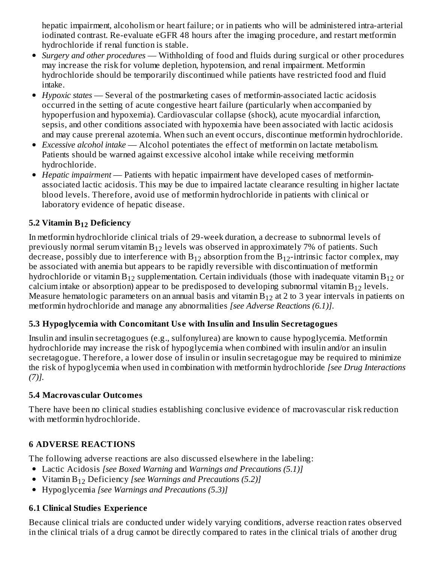hepatic impairment, alcoholism or heart failure; or in patients who will be administered intra-arterial iodinated contrast. Re-evaluate eGFR 48 hours after the imaging procedure, and restart metformin hydrochloride if renal function is stable.

- *Surgery and other procedures* Withholding of food and fluids during surgical or other procedures may increase the risk for volume depletion, hypotension, and renal impairment. Metformin hydrochloride should be temporarily discontinued while patients have restricted food and fluid intake.
- *Hypoxic states* Several of the postmarketing cases of metformin-associated lactic acidosis occurred in the setting of acute congestive heart failure (particularly when accompanied by hypoperfusion and hypoxemia). Cardiovascular collapse (shock), acute myocardial infarction, sepsis, and other conditions associated with hypoxemia have been associated with lactic acidosis and may cause prerenal azotemia. When such an event occurs, discontinue metformin hydrochloride.
- *Excessive alcohol intake* Alcohol potentiates the effect of metformin on lactate metabolism. Patients should be warned against excessive alcohol intake while receiving metformin hydrochloride.
- *Hepatic impairment* Patients with hepatic impairment have developed cases of metforminassociated lactic acidosis. This may be due to impaired lactate clearance resulting in higher lactate blood levels. Therefore, avoid use of metformin hydrochloride in patients with clinical or laboratory evidence of hepatic disease.

# **5.2 Vitamin B Deficiency 12**

In metformin hydrochloride clinical trials of 29-week duration, a decrease to subnormal levels of previously normal serum vitamin  $\rm B_{12}$  levels was observed in approximately 7% of patients. Such decrease, possibly due to interference with  $\rm B_{12}$  absorption from the  $\rm B_{12}$ -intrinsic factor complex, may be associated with anemia but appears to be rapidly reversible with discontinuation of metformin hydrochloride or vitamin $\rm B_{12}$  supplementation. Certain individuals (those with inadequate vitamin  $\rm B_{12}$  or calcium intake or absorption) appear to be predisposed to developing subnormal vitamin  $\rm B_{12}$  levels. Measure hematologic parameters on an annual basis and vitamin  $\rm{B}_{12}$  at 2 to 3 year intervals in patients on metformin hydrochloride and manage any abnormalities *[see Adverse Reactions (6.1)]*.

# **5.3 Hypoglycemia with Concomitant Us e with Insulin and Insulin Secretagogues**

Insulin and insulin secretagogues (e.g., sulfonylurea) are known to cause hypoglycemia. Metformin hydrochloride may increase the risk of hypoglycemia when combined with insulin and/or an insulin secretagogue. Therefore, a lower dose of insulin or insulin secretagogue may be required to minimize the risk of hypoglycemia when used in combination with metformin hydrochloride *[see Drug Interactions (7)].*

#### **5.4 Macrovas cular Outcomes**

There have been no clinical studies establishing conclusive evidence of macrovascular risk reduction with metformin hydrochloride.

# **6 ADVERSE REACTIONS**

The following adverse reactions are also discussed elsewhere in the labeling:

- Lactic Acidosis *[see Boxed Warning* and *Warnings and Precautions (5.1)]*
- *Kitamin* B<sub>12</sub> Deficiency *[see Warnings and Precautions (5.2)]*
- Hypoglycemia *[see Warnings and Precautions (5.3)]*

# **6.1 Clinical Studies Experience**

Because clinical trials are conducted under widely varying conditions, adverse reaction rates observed in the clinical trials of a drug cannot be directly compared to rates in the clinical trials of another drug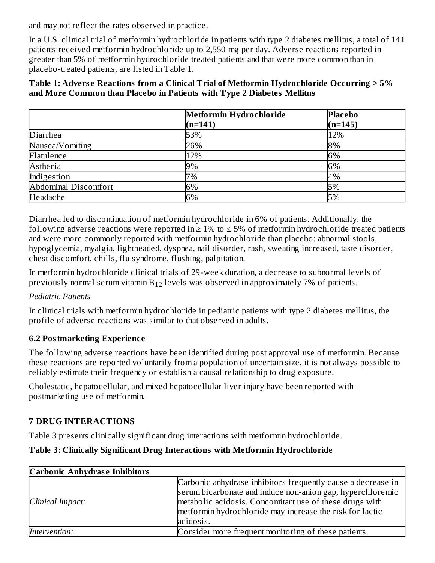and may not reflect the rates observed in practice.

In a U.S. clinical trial of metformin hydrochloride in patients with type 2 diabetes mellitus, a total of 141 patients received metformin hydrochloride up to 2,550 mg per day. Adverse reactions reported in greater than 5% of metformin hydrochloride treated patients and that were more common than in placebo-treated patients, are listed in Table 1.

#### **Table 1: Advers e Reactions from a Clinical Trial of Metformin Hydrochloride Occurring > 5% and More Common than Placebo in Patients with Type 2 Diabetes Mellitus**

|                      | Metformin Hydrochloride<br>$(n=141)$ | <b>Placebo</b><br>$(n=145)$ |
|----------------------|--------------------------------------|-----------------------------|
| Diarrhea             | 53%                                  | 12%                         |
| Nausea/Vomiting      | 26%                                  | 8%                          |
| Flatulence           | 12%                                  | 6%                          |
| Asthenia             | 9%                                   | 6%                          |
| Indigestion          | 7%                                   | 4%                          |
| Abdominal Discomfort | 6%                                   | 5%                          |
| Headache             | 6%                                   | 5%                          |

Diarrhea led to discontinuation of metformin hydrochloride in 6% of patients. Additionally, the following adverse reactions were reported in  $\geq 1\%$  to  $\leq 5\%$  of metformin hydrochloride treated patients and were more commonly reported with metformin hydrochloride than placebo: abnormal stools, hypoglycemia, myalgia, lightheaded, dyspnea, nail disorder, rash, sweating increased, taste disorder, chest discomfort, chills, flu syndrome, flushing, palpitation.

In metformin hydrochloride clinical trials of 29-week duration, a decrease to subnormal levels of previously normal serum vitamin  $B_{12}$  levels was observed in approximately 7% of patients.

# *Pediatric Patients*

In clinical trials with metformin hydrochloride in pediatric patients with type 2 diabetes mellitus, the profile of adverse reactions was similar to that observed in adults.

# **6.2 Postmarketing Experience**

The following adverse reactions have been identified during post approval use of metformin. Because these reactions are reported voluntarily from a population of uncertain size, it is not always possible to reliably estimate their frequency or establish a causal relationship to drug exposure.

Cholestatic, hepatocellular, and mixed hepatocellular liver injury have been reported with postmarketing use of metformin.

# **7 DRUG INTERACTIONS**

Table 3 presents clinically significant drug interactions with metformin hydrochloride.

# **Table 3: Clinically Significant Drug Interactions with Metformin Hydrochloride**

| <b>Carbonic Anhydrase Inhibitors</b> |                                                                                                                                  |
|--------------------------------------|----------------------------------------------------------------------------------------------------------------------------------|
|                                      | Carbonic anhydrase inhibitors frequently cause a decrease in<br>serum bicarbonate and induce non-anion gap, hyperchloremic       |
| Clinical Impact:                     | metabolic acidosis. Concomitant use of these drugs with<br>metformin hydrochloride may increase the risk for lactic<br>acidosis. |
| Intervention:                        | Consider more frequent monitoring of these patients.                                                                             |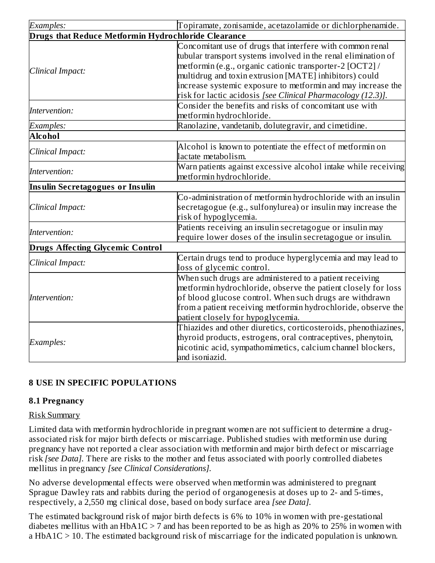| Examples:                                           | Topiramate, zonisamide, acetazolamide or dichlorphenamide.                                                                                                                                                                                                                                                                                                                        |  |
|-----------------------------------------------------|-----------------------------------------------------------------------------------------------------------------------------------------------------------------------------------------------------------------------------------------------------------------------------------------------------------------------------------------------------------------------------------|--|
| Drugs that Reduce Metformin Hydrochloride Clearance |                                                                                                                                                                                                                                                                                                                                                                                   |  |
| Clinical Impact:                                    | Concomitant use of drugs that interfere with common renal<br>tubular transport systems involved in the renal elimination of<br>metformin (e.g., organic cationic transporter-2 [OCT2] /<br>multidrug and toxin extrusion [MATE] inhibitors) could<br>increase systemic exposure to metformin and may increase the<br>risk for lactic acidosis [see Clinical Pharmacology (12.3)]. |  |
| Intervention:                                       | Consider the benefits and risks of concomitant use with<br>metformin hydrochloride.                                                                                                                                                                                                                                                                                               |  |
| Examples:                                           | Ranolazine, vandetanib, dolutegravir, and cimetidine.                                                                                                                                                                                                                                                                                                                             |  |
| <b>Alcohol</b>                                      |                                                                                                                                                                                                                                                                                                                                                                                   |  |
| Clinical Impact:                                    | Alcohol is known to potentiate the effect of metformin on<br>lactate metabolism.                                                                                                                                                                                                                                                                                                  |  |
| Intervention:                                       | Warn patients against excessive alcohol intake while receiving<br>metformin hydrochloride.                                                                                                                                                                                                                                                                                        |  |
| Insulin Secretagogues or Insulin                    |                                                                                                                                                                                                                                                                                                                                                                                   |  |
| Clinical Impact:                                    | Co-administration of metformin hydrochloride with an insulin<br>secretagogue (e.g., sulfonylurea) or insulin may increase the<br>risk of hypoglycemia.                                                                                                                                                                                                                            |  |
| Intervention:                                       | Patients receiving an insulin secretagogue or insulin may<br>require lower doses of the insulin secretagogue or insulin.                                                                                                                                                                                                                                                          |  |
| <b>Drugs Affecting Glycemic Control</b>             |                                                                                                                                                                                                                                                                                                                                                                                   |  |
| Clinical Impact:                                    | Certain drugs tend to produce hyperglycemia and may lead to<br>loss of glycemic control.                                                                                                                                                                                                                                                                                          |  |
| Intervention:                                       | When such drugs are administered to a patient receiving<br>metformin hydrochloride, observe the patient closely for loss<br>of blood glucose control. When such drugs are withdrawn<br>from a patient receiving metformin hydrochloride, observe the<br>patient closely for hypoglycemia.                                                                                         |  |
| Examples:                                           | Thiazides and other diuretics, corticosteroids, phenothiazines,<br>thyroid products, estrogens, oral contraceptives, phenytoin,<br>nicotinic acid, sympathomimetics, calcium channel blockers,<br>and isoniazid.                                                                                                                                                                  |  |

# **8 USE IN SPECIFIC POPULATIONS**

# **8.1 Pregnancy**

#### Risk Summary

Limited data with metformin hydrochloride in pregnant women are not sufficient to determine a drugassociated risk for major birth defects or miscarriage. Published studies with metformin use during pregnancy have not reported a clear association with metformin and major birth defect or miscarriage risk *[see Data].* There are risks to the mother and fetus associated with poorly controlled diabetes mellitus in pregnancy *[see Clinical Considerations].*

No adverse developmental effects were observed when metformin was administered to pregnant Sprague Dawley rats and rabbits during the period of organogenesis at doses up to 2- and 5-times, respectively, a 2,550 mg clinical dose, based on body surface area *[see Data].*

The estimated background risk of major birth defects is 6% to 10% in women with pre-gestational diabetes mellitus with an HbA1C  $>$  7 and has been reported to be as high as 20% to 25% in women with a HbA1C > 10. The estimated background risk of miscarriage for the indicated population is unknown.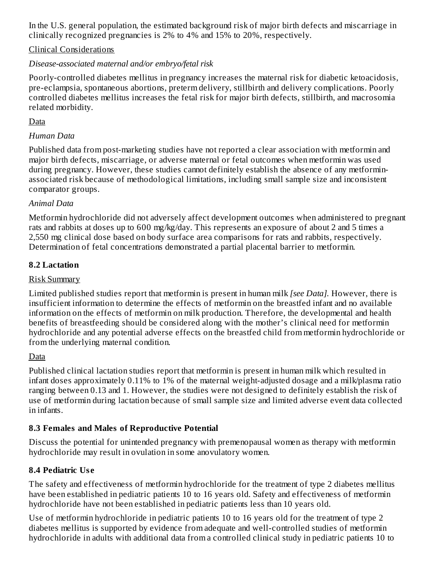In the U.S. general population, the estimated background risk of major birth defects and miscarriage in clinically recognized pregnancies is 2% to 4% and 15% to 20%, respectively.

# Clinical Considerations

# *Disease-associated maternal and/or embryo/fetal risk*

Poorly-controlled diabetes mellitus in pregnancy increases the maternal risk for diabetic ketoacidosis, pre-eclampsia, spontaneous abortions, preterm delivery, stillbirth and delivery complications. Poorly controlled diabetes mellitus increases the fetal risk for major birth defects, stillbirth, and macrosomia related morbidity.

# Data

# *Human Data*

Published data from post-marketing studies have not reported a clear association with metformin and major birth defects, miscarriage, or adverse maternal or fetal outcomes when metformin was used during pregnancy. However, these studies cannot definitely establish the absence of any metforminassociated risk because of methodological limitations, including small sample size and inconsistent comparator groups.

# *Animal Data*

Metformin hydrochloride did not adversely affect development outcomes when administered to pregnant rats and rabbits at doses up to 600 mg/kg/day. This represents an exposure of about 2 and 5 times a 2,550 mg clinical dose based on body surface area comparisons for rats and rabbits, respectively. Determination of fetal concentrations demonstrated a partial placental barrier to metformin.

# **8.2 Lactation**

# Risk Summary

Limited published studies report that metformin is present in human milk *[see Data].* However, there is insufficient information to determine the effects of metformin on the breastfed infant and no available information on the effects of metformin on milk production. Therefore, the developmental and health benefits of breastfeeding should be considered along with the mother's clinical need for metformin hydrochloride and any potential adverse effects on the breastfed child from metformin hydrochloride or from the underlying maternal condition.

# Data

Published clinical lactation studies report that metformin is present in human milk which resulted in infant doses approximately 0.11% to 1% of the maternal weight-adjusted dosage and a milk/plasma ratio ranging between 0.13 and 1. However, the studies were not designed to definitely establish the risk of use of metformin during lactation because of small sample size and limited adverse event data collected in infants.

# **8.3 Females and Males of Reproductive Potential**

Discuss the potential for unintended pregnancy with premenopausal women as therapy with metformin hydrochloride may result in ovulation in some anovulatory women.

# **8.4 Pediatric Us e**

The safety and effectiveness of metformin hydrochloride for the treatment of type 2 diabetes mellitus have been established in pediatric patients 10 to 16 years old. Safety and effectiveness of metformin hydrochloride have not been established in pediatric patients less than 10 years old.

Use of metformin hydrochloride in pediatric patients 10 to 16 years old for the treatment of type 2 diabetes mellitus is supported by evidence from adequate and well-controlled studies of metformin hydrochloride in adults with additional data from a controlled clinical study in pediatric patients 10 to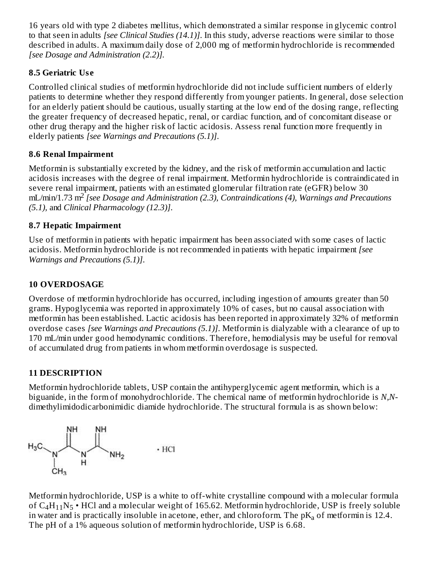16 years old with type 2 diabetes mellitus, which demonstrated a similar response in glycemic control to that seen in adults *[see Clinical Studies (14.1)]*. In this study, adverse reactions were similar to those described in adults. A maximum daily dose of 2,000 mg of metformin hydrochloride is recommended *[see Dosage and Administration (2.2)].*

# **8.5 Geriatric Us e**

Controlled clinical studies of metformin hydrochloride did not include sufficient numbers of elderly patients to determine whether they respond differently from younger patients. In general, dose selection for an elderly patient should be cautious, usually starting at the low end of the dosing range, reflecting the greater frequency of decreased hepatic, renal, or cardiac function, and of concomitant disease or other drug therapy and the higher risk of lactic acidosis. Assess renal function more frequently in elderly patients *[see Warnings and Precautions (5.1)]*.

# **8.6 Renal Impairment**

Metformin is substantially excreted by the kidney, and the risk of metformin accumulation and lactic acidosis increases with the degree of renal impairment. Metformin hydrochloride is contraindicated in severe renal impairment, patients with an estimated glomerular filtration rate (eGFR) below 30 mL/min/1.73 m<sup>2</sup> [see Dosage and Administration (2.3), Contraindications (4), Warnings and Precautions *(5.1),* and *Clinical Pharmacology (12.3)]*.

# **8.7 Hepatic Impairment**

Use of metformin in patients with hepatic impairment has been associated with some cases of lactic acidosis. Metformin hydrochloride is not recommended in patients with hepatic impairment *[see Warnings and Precautions (5.1)]*.

# **10 OVERDOSAGE**

Overdose of metformin hydrochloride has occurred, including ingestion of amounts greater than 50 grams. Hypoglycemia was reported in approximately 10% of cases, but no causal association with metformin has been established. Lactic acidosis has been reported in approximately 32% of metformin overdose cases *[see Warnings and Precautions (5.1)]*. Metformin is dialyzable with a clearance of up to 170 mL/min under good hemodynamic conditions. Therefore, hemodialysis may be useful for removal of accumulated drug from patients in whom metformin overdosage is suspected.

# **11 DESCRIPTION**

Metformin hydrochloride tablets, USP contain the antihyperglycemic agent metformin, which is a biguanide, in the form of monohydrochloride. The chemical name of metformin hydrochloride is *N,N*dimethylimidodicarbonimidic diamide hydrochloride. The structural formula is as shown below:



Metformin hydrochloride, USP is a white to off-white crystalline compound with a molecular formula of  $C_4H_{11}N_5$  • HCl and a molecular weight of 165.62. Metformin hydrochloride, USP is freely soluble in water and is practically insoluble in acetone, ether, and chloroform. The  $pK_a$  of metformin is 12.4. The pH of a 1% aqueous solution of metformin hydrochloride, USP is 6.68.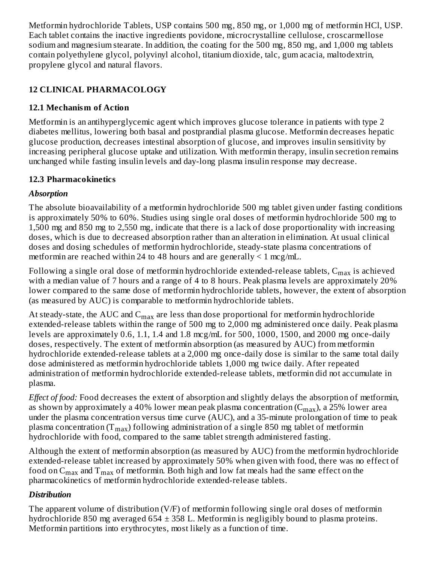Metformin hydrochloride Tablets, USP contains 500 mg, 850 mg, or 1,000 mg of metformin HCl, USP. Each tablet contains the inactive ingredients povidone, microcrystalline cellulose, croscarmellose sodium and magnesium stearate. In addition, the coating for the 500 mg, 850 mg, and 1,000 mg tablets contain polyethylene glycol, polyvinyl alcohol, titanium dioxide, talc, gum acacia, maltodextrin, propylene glycol and natural flavors.

# **12 CLINICAL PHARMACOLOGY**

# **12.1 Mechanism of Action**

Metformin is an antihyperglycemic agent which improves glucose tolerance in patients with type 2 diabetes mellitus, lowering both basal and postprandial plasma glucose. Metformin decreases hepatic glucose production, decreases intestinal absorption of glucose, and improves insulin sensitivity by increasing peripheral glucose uptake and utilization. With metformin therapy, insulin secretion remains unchanged while fasting insulin levels and day-long plasma insulin response may decrease.

# **12.3 Pharmacokinetics**

# *Absorption*

The absolute bioavailability of a metformin hydrochloride 500 mg tablet given under fasting conditions is approximately 50% to 60%. Studies using single oral doses of metformin hydrochloride 500 mg to 1,500 mg and 850 mg to 2,550 mg, indicate that there is a lack of dose proportionality with increasing doses, which is due to decreased absorption rather than an alteration in elimination. At usual clinical doses and dosing schedules of metformin hydrochloride, steady-state plasma concentrations of metformin are reached within 24 to 48 hours and are generally  $\leq 1$  mcg/mL.

Following a single oral dose of metformin hydrochloride extended-release tablets,  $\mathsf{C}_{\max}$  is achieved with a median value of 7 hours and a range of 4 to 8 hours. Peak plasma levels are approximately 20% lower compared to the same dose of metformin hydrochloride tablets, however, the extent of absorption (as measured by AUC) is comparable to metformin hydrochloride tablets.

At steady-state, the AUC and  $\mathsf{C}_{\max}$  are less than dose proportional for metformin hydrochloride extended-release tablets within the range of 500 mg to 2,000 mg administered once daily. Peak plasma levels are approximately  $0.6$ ,  $1.1$ ,  $1.4$  and  $1.8$  mcg/mL for 500, 1000, 1500, and 2000 mg once-daily doses, respectively. The extent of metformin absorption (as measured by AUC) from metformin hydrochloride extended-release tablets at a 2,000 mg once-daily dose is similar to the same total daily dose administered as metformin hydrochloride tablets 1,000 mg twice daily. After repeated administration of metformin hydrochloride extended-release tablets, metformin did not accumulate in plasma.

*Effect of food:* Food decreases the extent of absorption and slightly delays the absorption of metformin, as shown by approximately a 40% lower mean peak plasma concentration (C $_{\rm max}$ ), a 25% lower area under the plasma concentration versus time curve (AUC), and a 35-minute prolongation of time to peak plasma concentration (T $_{\rm max}$ ) following administration of a single 850 mg tablet of metformin hydrochloride with food, compared to the same tablet strength administered fasting.

Although the extent of metformin absorption (as measured by AUC) from the metformin hydrochloride extended-release tablet increased by approximately 50% when given with food, there was no effect of food on  ${\sf C}_{\max}$  and  ${\sf T}_{\max}$  of metformin. Both high and low fat meals had the same effect on the pharmacokinetics of metformin hydrochloride extended-release tablets.

# *Distribution*

The apparent volume of distribution (V/F) of metformin following single oral doses of metformin hydrochloride 850 mg averaged 654 ± 358 L. Metformin is negligibly bound to plasma proteins. Metformin partitions into erythrocytes, most likely as a function of time.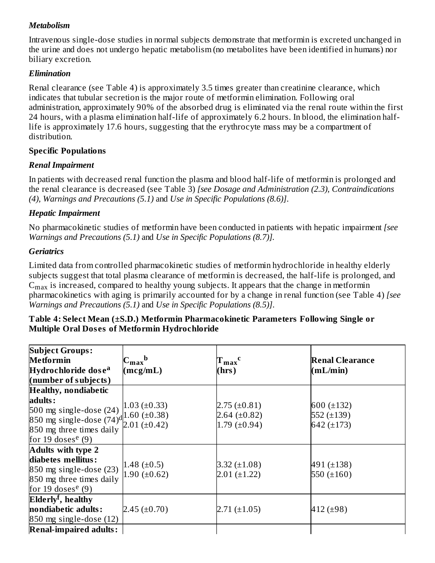### *Metabolism*

Intravenous single-dose studies in normal subjects demonstrate that metformin is excreted unchanged in the urine and does not undergo hepatic metabolism (no metabolites have been identified in humans) nor biliary excretion.

#### *Elimination*

Renal clearance (see Table 4) is approximately 3.5 times greater than creatinine clearance, which indicates that tubular secretion is the major route of metformin elimination. Following oral administration, approximately 90% of the absorbed drug is eliminated via the renal route within the first 24 hours, with a plasma elimination half-life of approximately 6.2 hours. In blood, the elimination halflife is approximately 17.6 hours, suggesting that the erythrocyte mass may be a compartment of distribution.

#### **Specific Populations**

#### *Renal Impairment*

In patients with decreased renal function the plasma and blood half-life of metformin is prolonged and the renal clearance is decreased (see Table 3) *[see Dosage and Administration (2.3), Contraindications (4), Warnings and Precautions (5.1)* and *Use in Specific Populations (8.6)]*.

#### *Hepatic Impairment*

No pharmacokinetic studies of metformin have been conducted in patients with hepatic impairment *[see Warnings and Precautions (5.1)* and *Use in Specific Populations (8.7)].*

#### *Geriatrics*

Limited data from controlled pharmacokinetic studies of metformin hydrochloride in healthy elderly subjects suggest that total plasma clearance of metformin is decreased, the half-life is prolonged, and  $\mathsf{C}_{\max}$  is increased, compared to healthy young subjects. It appears that the change in metformin pharmacokinetics with aging is primarily accounted for by a change in renal function (see Table 4) *[see Warnings and Precautions (5.1)* and *Use in Specific Populations (8.5)]*.

#### **Table 4: Select Mean (±S.D.) Metformin Pharmacokinetic Parameters Following Single or Multiple Oral Dos es of Metformin Hydrochloride**

| <b>Subject Groups:</b>                                                                                                                                                                                   |                            |                   |                        |
|----------------------------------------------------------------------------------------------------------------------------------------------------------------------------------------------------------|----------------------------|-------------------|------------------------|
| <b>Metformin</b>                                                                                                                                                                                         | $C_{\rm max}$ <sub>b</sub> | $T_{max}$ c       | <b>Renal Clearance</b> |
| Hydrochloride dose <sup>a</sup>                                                                                                                                                                          | (mcg/mL)                   | (hrs)             | (mL/min)               |
| (number of subjects)                                                                                                                                                                                     |                            |                   |                        |
| <b>Healthy, nondiabetic</b>                                                                                                                                                                              |                            |                   |                        |
| adults:                                                                                                                                                                                                  |                            |                   |                        |
|                                                                                                                                                                                                          |                            | $2.75 (\pm 0.81)$ | 600 $(\pm 132)$        |
| 500 mg single-dose (24) $\begin{bmatrix} 1.03 \text{ } (\pm 0.33) \\ 0.38 \text{ } \end{bmatrix}$<br>850 mg single-dose (74) <sup>d</sup> 1.60 (±0.38) 850 mg single-dose (74) <sup>d</sup> 2.01 (±0.42) |                            | 2.64 $(\pm 0.82)$ | 552 $(\pm 139)$        |
| 850 mg three times daily                                                                                                                                                                                 |                            | 1.79 $(\pm 0.94)$ | 642 $(\pm 173)$        |
| for 19 doses <sup>e</sup> (9)                                                                                                                                                                            |                            |                   |                        |
| <b>Adults with type 2</b>                                                                                                                                                                                |                            |                   |                        |
| diabetes mellitus:                                                                                                                                                                                       |                            |                   |                        |
| $850$ mg single-dose $(23)$                                                                                                                                                                              | 1.48 $(\pm 0.5)$           | 3.32 $(\pm 1.08)$ | 491 $(\pm 138)$        |
| 850 mg three times daily                                                                                                                                                                                 | 1.90 $(\pm 0.62)$          | $2.01 (\pm 1.22)$ | 550 $(\pm 160)$        |
| for 19 doses <sup>e</sup> (9)                                                                                                                                                                            |                            |                   |                        |
| Elderly <sup>f</sup> , healthy                                                                                                                                                                           |                            |                   |                        |
| nondiabetic adults:                                                                                                                                                                                      | $2.45 (\pm 0.70)$          | $2.71 (\pm 1.05)$ | 412 $(\pm 98)$         |
| 850 mg single-dose (12)                                                                                                                                                                                  |                            |                   |                        |
| <b>Renal-impaired adults:</b>                                                                                                                                                                            |                            |                   |                        |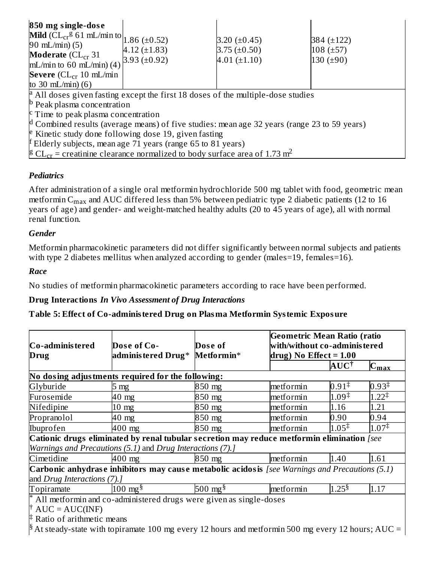| 850 mg single-dose<br><b>Mild</b> ( $CL_{cr}$ <sup>g</sup> 61 mL/min to 1.86 (±0.52)<br>90 mL/min $(5)$<br><b>Moderate</b> ( $CL_{cr}$ 31<br>mL/min to 60 mL/min) $(4)$<br>Severe $CL_{cr}$ 10 mL/min<br>to 30 $mL/min(6)$                                                                                                                                 | $4.12 (\pm 1.83)$<br>3.93 $(\pm 0.92)$ | 3.20 $(\pm 0.45)$<br>$3.75 \ (\pm 0.50)$<br>$4.01 (\pm 1.10)$ | 384 (±122)<br>$108 (\pm 57)$<br>130 $(\pm 90)$ |  |
|------------------------------------------------------------------------------------------------------------------------------------------------------------------------------------------------------------------------------------------------------------------------------------------------------------------------------------------------------------|----------------------------------------|---------------------------------------------------------------|------------------------------------------------|--|
| <sup>a</sup> All doses given fasting except the first 18 doses of the multiple-dose studies<br>$\mathsf{P}$ Peak plasma concentration                                                                                                                                                                                                                      |                                        |                                                               |                                                |  |
| $\epsilon$ Time to peak plasma concentration                                                                                                                                                                                                                                                                                                               |                                        |                                                               |                                                |  |
| $\mu$ Combined results (average means) of five studies: mean age 32 years (range 23 to 59 years)<br><sup>e</sup> Kinetic study done following dose 19, given fasting<br>$\sharp$ Elderly subjects, mean age 71 years (range 65 to 81 years)<br><sup>8</sup> CL <sub>cr</sub> = creatinine clearance normalized to body surface area of 1.73 m <sup>2</sup> |                                        |                                                               |                                                |  |
|                                                                                                                                                                                                                                                                                                                                                            |                                        |                                                               |                                                |  |

# *Pediatrics*

After administration of a single oral metformin hydrochloride 500 mg tablet with food, geometric mean metformin C $_{\rm max}$  and AUC differed less than 5% between pediatric type 2 diabetic patients (12 to 16 years of age) and gender- and weight-matched healthy adults (20 to 45 years of age), all with normal renal function.

#### *Gender*

Metformin pharmacokinetic parameters did not differ significantly between normal subjects and patients with type 2 diabetes mellitus when analyzed according to gender (males=19, females=16).

#### *Race*

No studies of metformin pharmacokinetic parameters according to race have been performed.

#### **Drug Interactions** *In Vivo Assessment of Drug Interactions*

#### **Table 5: Effect of Co-administered Drug on Plasma Metformin Systemic Exposure**

| Co-adminis tered<br>Drug                                                | Dose of Co-<br>adminis tered Drug* Metformin*                                                    | Dose of             | <b>Geometric Mean Ratio (ratio</b><br>$\!$ with/without <code>co-adminis</code> tered<br>drug) No Effect = $1.00$ |                                         |                   |
|-------------------------------------------------------------------------|--------------------------------------------------------------------------------------------------|---------------------|-------------------------------------------------------------------------------------------------------------------|-----------------------------------------|-------------------|
|                                                                         |                                                                                                  |                     |                                                                                                                   | $\mathbf A \mathbf U \mathbf C^\dagger$ | $C_{\text{max}}$  |
|                                                                         | No dosing adjustments required for the following:                                                |                     |                                                                                                                   |                                         |                   |
| Glyburide                                                               | 5 mg                                                                                             | 850 mg              | metformin                                                                                                         | $0.91^{\ddagger}$                       | $0.93^{\ddagger}$ |
| Furosemide                                                              | 40 mg                                                                                            | 850 mg              | metformin                                                                                                         | $1.09^{\ddagger}$                       | $1.22^{\ddagger}$ |
| Nifedipine                                                              | $10 \text{ mg}$                                                                                  | 850 mg              | metformin                                                                                                         | 1.16                                    | 1.21              |
| Propranolol                                                             | 40 mg                                                                                            | 850 mg              | metformin                                                                                                         | 0.90                                    | 0.94              |
| Ibuprofen                                                               | 400 mg                                                                                           | 850 mg              | metformin                                                                                                         | $1.05^{\ddagger}$                       | $1.07^{\ddagger}$ |
|                                                                         | Cationic drugs eliminated by renal tubular secretion may reduce metformin elimination [see       |                     |                                                                                                                   |                                         |                   |
|                                                                         | Warnings and Precautions (5.1) and Drug Interactions (7).]                                       |                     |                                                                                                                   |                                         |                   |
| Cimetidine                                                              | $400$ mg                                                                                         | 850 mg              | metformin                                                                                                         | 1.40                                    | 1.61              |
|                                                                         | Carbonic anhydrase inhibitors may cause metabolic acidosis [see Warnings and Precautions $(5.1)$ |                     |                                                                                                                   |                                         |                   |
| and Drug Interactions (7).]                                             |                                                                                                  |                     |                                                                                                                   |                                         |                   |
| Topiramate                                                              | $100 \text{ mg}^{\frac{5}{3}}$                                                                   | 500 mg <sup>§</sup> | metformin                                                                                                         | 1.25 <sup>§</sup>                       | 1.17              |
| $^*$ All metformin and co-administered drugs were given as single-doses |                                                                                                  |                     |                                                                                                                   |                                         |                   |
| $\uparrow$ AUC = AUC(INF)                                               |                                                                                                  |                     |                                                                                                                   |                                         |                   |
| $\sharp$ Ratio of arithmetic means                                      |                                                                                                  |                     |                                                                                                                   |                                         |                   |

 $\frac{1}{8}$  At steady-state with topiramate 100 mg every 12 hours and metformin 500 mg every 12 hours; AUC = AUC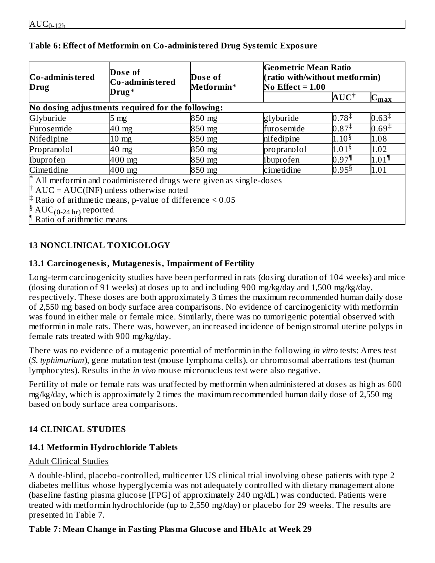| Co-adminis tered<br>Drug                                           | Dose of<br>Co-adminis tered                                            | Dose of<br>Metformin* | Geometric Mean Ratio<br>(ratio with/without metformin)<br>No Effect = $1.00$ |                          |                     |  |
|--------------------------------------------------------------------|------------------------------------------------------------------------|-----------------------|------------------------------------------------------------------------------|--------------------------|---------------------|--|
|                                                                    | $Drug*$                                                                |                       |                                                                              | $\mathbf{AUC}^{\dagger}$ | $C_{\rm max}$       |  |
|                                                                    | No dosing adjustments required for the following:                      |                       |                                                                              |                          |                     |  |
| Glyburide                                                          | $5 \text{ mg}$                                                         | 850 mg                | glyburide                                                                    | $0.78^{\ddagger}$        | $0.63^{\ddagger}$   |  |
| Furosemide                                                         | $40 \text{ mg}$                                                        | 850 mg                | furosemide                                                                   | $0.87^{\ddagger}$        | $0.69^{\ddagger}$   |  |
| Nifedipine                                                         | $10 \text{ mg}$                                                        | 850 mg                | nifedipine                                                                   | $1.10^{8}$               | 1.08                |  |
| Propranolol                                                        | 40 mg                                                                  | 850 mg                | propranolol                                                                  | 1.01 <sup>§</sup>        | 1.02                |  |
| Ibuprofen                                                          | 400 mg                                                                 | 850 mg                | ibuprofen                                                                    | 0.97                     | $1.01$ <sup>¶</sup> |  |
| Cimetidine                                                         | $400$ mg                                                               | 850 mg                | cimetidine                                                                   | $0.95^{\$}$              | 1.01                |  |
|                                                                    | $^*$ All metformin and coadministered drugs were given as single-doses |                       |                                                                              |                          |                     |  |
| $\uparrow$ AUC = AUC(INF) unless otherwise noted                   |                                                                        |                       |                                                                              |                          |                     |  |
| $\sharp$ Ratio of arithmetic means, p-value of difference $< 0.05$ |                                                                        |                       |                                                                              |                          |                     |  |
| $\frac{1}{2}$ AUC <sub>(0-24 hr)</sub> reported                    |                                                                        |                       |                                                                              |                          |                     |  |
| Ratio of arithmetic means                                          |                                                                        |                       |                                                                              |                          |                     |  |

#### **Table 6: Effect of Metformin on Co-administered Drug Systemic Exposure**

# **13 NONCLINICAL TOXICOLOGY**

#### **13.1 Carcinogenesis, Mutagenesis, Impairment of Fertility**

Long-term carcinogenicity studies have been performed in rats (dosing duration of 104 weeks) and mice (dosing duration of 91 weeks) at doses up to and including 900 mg/kg/day and 1,500 mg/kg/day, respectively. These doses are both approximately 3 times the maximum recommended human daily dose of 2,550 mg based on body surface area comparisons. No evidence of carcinogenicity with metformin was found in either male or female mice. Similarly, there was no tumorigenic potential observed with metformin in male rats. There was, however, an increased incidence of benign stromal uterine polyps in female rats treated with 900 mg/kg/day.

There was no evidence of a mutagenic potential of metformin in the following *in vitro* tests: Ames test (*S. typhimurium*), gene mutation test (mouse lymphoma cells), or chromosomal aberrations test (human lymphocytes). Results in the *in vivo* mouse micronucleus test were also negative.

Fertility of male or female rats was unaffected by metformin when administered at doses as high as 600 mg/kg/day, which is approximately 2 times the maximum recommended human daily dose of 2,550 mg based on body surface area comparisons.

# **14 CLINICAL STUDIES**

# **14.1 Metformin Hydrochloride Tablets**

#### Adult Clinical Studies

A double-blind, placebo-controlled, multicenter US clinical trial involving obese patients with type 2 diabetes mellitus whose hyperglycemia was not adequately controlled with dietary management alone (baseline fasting plasma glucose [FPG] of approximately 240 mg/dL) was conducted. Patients were treated with metformin hydrochloride (up to 2,550 mg/day) or placebo for 29 weeks. The results are presented in Table 7.

# **Table 7: Mean Change in Fasting Plasma Glucos e and HbA1c at Week 29**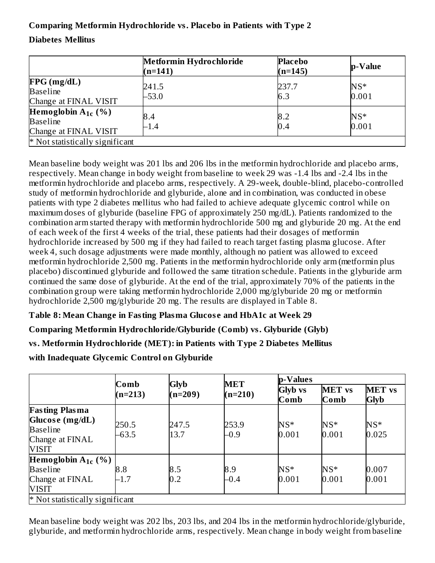# **Comparing Metformin Hydrochloride vs. Placebo in Patients with Type 2**

#### **Diabetes Mellitus**

|                                                                     | Metformin Hydrochloride<br>$(n=141)$ | <b>Placebo</b><br>$(n=145)$ | <b>p</b> -Value |
|---------------------------------------------------------------------|--------------------------------------|-----------------------------|-----------------|
| FPG(mg/dL)<br><b>Baseline</b><br>Change at FINAL VISIT              | 241.5<br>$-53.0$                     | 237.7<br>6.3                | $NS*$<br>0.001  |
| Hemoglobin $A_{1c}$ (%)<br><b>Baseline</b><br>Change at FINAL VISIT | 8.4<br>$-1.4$                        | 8.2<br>0.4                  | $NS*$<br>0.001  |
| * Not statistically significant                                     |                                      |                             |                 |

Mean baseline body weight was 201 lbs and 206 lbs in the metformin hydrochloride and placebo arms, respectively. Mean change in body weight from baseline to week 29 was -1.4 lbs and -2.4 lbs in the metformin hydrochloride and placebo arms, respectively. A 29-week, double-blind, placebo-controlled study of metformin hydrochloride and glyburide, alone and in combination, was conducted in obese patients with type 2 diabetes mellitus who had failed to achieve adequate glycemic control while on maximum doses of glyburide (baseline FPG of approximately 250 mg/dL). Patients randomized to the combination arm started therapy with metformin hydrochloride 500 mg and glyburide 20 mg. At the end of each week of the first 4 weeks of the trial, these patients had their dosages of metformin hydrochloride increased by 500 mg if they had failed to reach target fasting plasma glucose. After week 4, such dosage adjustments were made monthly, although no patient was allowed to exceed metformin hydrochloride 2,500 mg. Patients in the metformin hydrochloride only arm (metformin plus placebo) discontinued glyburide and followed the same titration schedule. Patients in the glyburide arm continued the same dose of glyburide. At the end of the trial, approximately 70% of the patients in the combination group were taking metformin hydrochloride 2,000 mg/glyburide 20 mg or metformin hydrochloride 2,500 mg/glyburide 20 mg. The results are displayed in Table 8.

**Table 8: Mean Change in Fasting Plasma Glucos e and HbA1c at Week 29**

**Comparing Metformin Hydrochloride/Glyburide (Comb) vs. Glyburide (Glyb)**

**vs. Metformin Hydrochloride (MET): in Patients with Type 2 Diabetes Mellitus**

**with Inadequate Glycemic Control on Glyburide**

|                                                                                                | Comb             |                   | <b>MET</b>      | p-Values               |                       |                              |
|------------------------------------------------------------------------------------------------|------------------|-------------------|-----------------|------------------------|-----------------------|------------------------------|
|                                                                                                | $(n=213)$        | Glyb<br>$(n=209)$ | $(n=210)$       | <b>Glyb</b> vs<br>Comb | <b>MET</b> vs<br>Comb | <b>MET</b> vs<br><b>Glyb</b> |
| <b>Fasting Plasma</b><br>Glucose (mg/dL)<br><b>Baseline</b><br>Change at FINAL<br><b>VISIT</b> | 250.5<br>$-63.5$ | 247.5<br>13.7     | 253.9<br>$-0.9$ | $NS*$<br>0.001         | $NS^*$<br>0.001       | $NS*$<br>0.025               |
| Hemoglobin $A_{1c}$ (%)                                                                        |                  |                   |                 |                        |                       |                              |
| <b>Baseline</b>                                                                                | 8.8              | 8.5               | 8.9             | $NS^*$                 | $NS^*$                | 0.007                        |
| Change at FINAL                                                                                | $-1.7$           | 0.2               | $-0.4$          | 0.001                  | 0.001                 | 0.001                        |
| VISIT                                                                                          |                  |                   |                 |                        |                       |                              |
| * Not statistically significant                                                                |                  |                   |                 |                        |                       |                              |

Mean baseline body weight was 202 lbs, 203 lbs, and 204 lbs in the metformin hydrochloride/glyburide, glyburide, and metformin hydrochloride arms, respectively. Mean change in body weight from baseline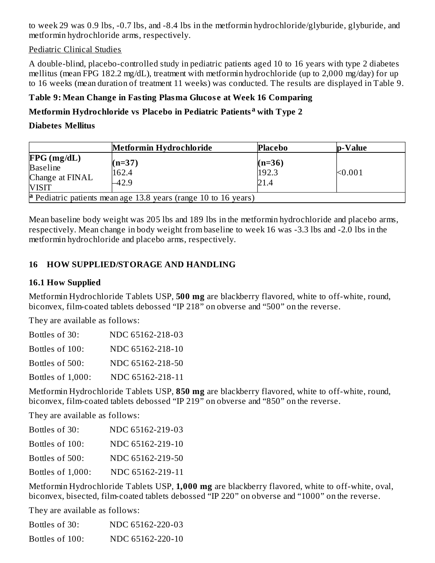to week 29 was 0.9 lbs, -0.7 lbs, and -8.4 lbs in the metformin hydrochloride/glyburide, glyburide, and metformin hydrochloride arms, respectively.

Pediatric Clinical Studies

A double-blind, placebo-controlled study in pediatric patients aged 10 to 16 years with type 2 diabetes mellitus (mean FPG 182.2 mg/dL), treatment with metformin hydrochloride (up to 2,000 mg/day) for up to 16 weeks (mean duration of treatment 11 weeks) was conducted. The results are displayed in Table 9.

# **Table 9: Mean Change in Fasting Plasma Glucos e at Week 16 Comparing**

# **Metformin Hydrochloride vs Placebo in Pediatric Patients with Type 2 a**

**Diabetes Mellitus**

|                                                                  | Metformin Hydrochloride                                                | <b>Placebo</b>            | <b>p</b> -Value |
|------------------------------------------------------------------|------------------------------------------------------------------------|---------------------------|-----------------|
| FPG(mg/dL)<br><b>Baseline</b><br>Change at FINAL<br><b>VISIT</b> | $(n=37)$<br>162.4<br>$-42.9$                                           | $(n=36)$<br>192.3<br>21.4 | < 0.001         |
|                                                                  | <b>a</b> Pediatric patients mean age 13.8 years (range 10 to 16 years) |                           |                 |

Mean baseline body weight was 205 lbs and 189 lbs in the metformin hydrochloride and placebo arms, respectively. Mean change in body weight from baseline to week 16 was -3.3 lbs and -2.0 lbs in the metformin hydrochloride and placebo arms, respectively.

# **16 HOW SUPPLIED/STORAGE AND HANDLING**

#### **16.1 How Supplied**

Metformin Hydrochloride Tablets USP, **500 mg** are blackberry flavored, white to off-white, round, biconvex, film-coated tablets debossed "IP 218" on obverse and "500" on the reverse.

They are available as follows:

| Bottles of 30:    | NDC 65162-218-03 |
|-------------------|------------------|
| Bottles of 100:   | NDC 65162-218-10 |
| Bottles of 500:   | NDC 65162-218-50 |
| Bottles of 1,000: | NDC 65162-218-11 |

Metformin Hydrochloride Tablets USP, **850 mg** are blackberry flavored, white to off-white, round, biconvex, film-coated tablets debossed "IP 219" on obverse and "850" on the reverse.

They are available as follows:

| Bottles of 30:    | NDC 65162-219-03 |
|-------------------|------------------|
| Bottles of 100:   | NDC 65162-219-10 |
| Bottles of 500:   | NDC 65162-219-50 |
| Bottles of 1,000: | NDC 65162-219-11 |

Metformin Hydrochloride Tablets USP, **1,000 mg** are blackberry flavored, white to off-white, oval, biconvex, bisected, film-coated tablets debossed "IP 220" on obverse and "1000" on the reverse.

They are available as follows:

| Bottles of 30:  | NDC 65162-220-03 |
|-----------------|------------------|
| Bottles of 100: | NDC 65162-220-10 |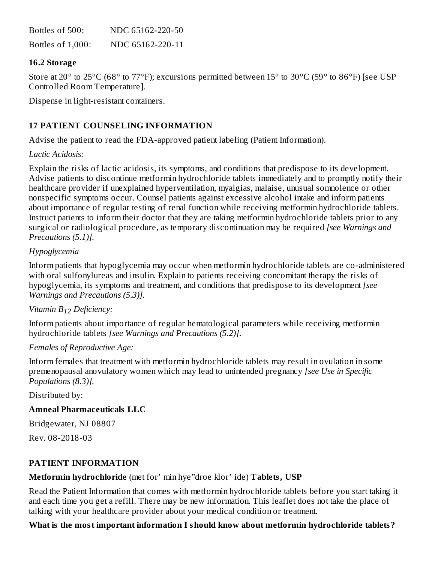| Bottles of 500:   | NDC 65162-220-50 |
|-------------------|------------------|
| Bottles of 1,000: | NDC 65162-220-11 |

#### **16.2 Storage**

Store at 20° to 25°C (68° to 77°F); excursions permitted between 15° to 30°C (59° to 86°F) [see USP Controlled Room Temperature].

Dispense in light-resistant containers.

# **17 PATIENT COUNSELING INFORMATION**

Advise the patient to read the FDA-approved patient labeling (Patient Information).

#### *Lactic Acidosis:*

Explain the risks of lactic acidosis, its symptoms, and conditions that predispose to its development. Advise patients to discontinue metformin hydrochloride tablets immediately and to promptly notify their healthcare provider if unexplained hyperventilation, myalgias, malaise, unusual somnolence or other nonspecific symptoms occur. Counsel patients against excessive alcohol intake and inform patients about importance of regular testing of renal function while receiving metformin hydrochloride tablets. Instruct patients to inform their doctor that they are taking metformin hydrochloride tablets prior to any surgical or radiological procedure, as temporary discontinuation may be required *[see Warnings and Precautions (5.1)].*

#### *Hypoglycemia*

Inform patients that hypoglycemia may occur when metformin hydrochloride tablets are co-administered with oral sulfonylureas and insulin. Explain to patients receiving concomitant therapy the risks of hypoglycemia, its symptoms and treatment, and conditions that predispose to its development *[see Warnings and Precautions (5.3)].*

# *Vitamin B Deficiency: 12*

Inform patients about importance of regular hematological parameters while receiving metformin hydrochloride tablets *[see Warnings and Precautions (5.2)]*.

#### *Females of Reproductive Age:*

Inform females that treatment with metformin hydrochloride tablets may result in ovulation in some premenopausal anovulatory women which may lead to unintended pregnancy *[see Use in Specific Populations (8.3)].*

Distributed by:

#### **Amneal Pharmaceuticals LLC**

Bridgewater, NJ 08807

Rev. 08-2018-03

#### **PATIENT INFORMATION**

#### **Metformin hydrochloride** (met for' min hye"droe klor' ide) **Tablets, USP**

Read the Patient Information that comes with metformin hydrochloride tablets before you start taking it and each time you get a refill. There may be new information. This leaflet does not take the place of talking with your healthcare provider about your medical condition or treatment.

#### **What is the most important information I should know about metformin hydrochloride tablets?**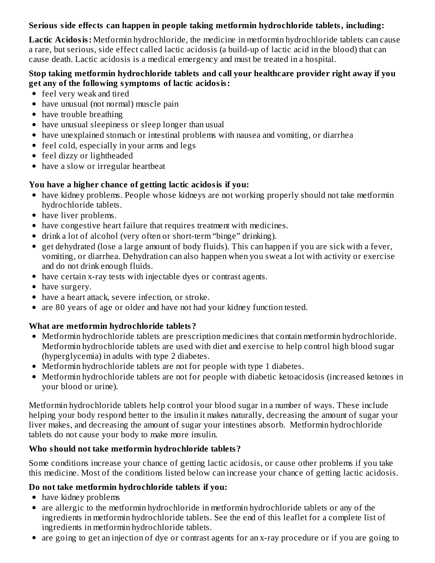### **Serious side effects can happen in people taking metformin hydrochloride tablets, including:**

**Lactic Acidosis:** Metformin hydrochloride, the medicine in metformin hydrochloride tablets can cause a rare, but serious, side effect called lactic acidosis (a build-up of lactic acid in the blood) that can cause death. Lactic acidosis is a medical emergency and must be treated in a hospital.

#### **Stop taking metformin hydrochloride tablets and call your healthcare provider right away if you get any of the following symptoms of lactic acidosis:**

- feel very weak and tired
- have unusual (not normal) muscle pain
- have trouble breathing
- have unusual sleepiness or sleep longer than usual
- have unexplained stomach or intestinal problems with nausea and vomiting, or diarrhea
- feel cold, especially in your arms and legs
- feel dizzy or lightheaded
- have a slow or irregular heartbeat

# **You have a higher chance of getting lactic acidosis if you:**

- have kidney problems. People whose kidneys are not working properly should not take metformin hydrochloride tablets.
- have liver problems.
- have congestive heart failure that requires treatment with medicines.
- drink a lot of alcohol (very often or short-term "binge" drinking).
- get dehydrated (lose a large amount of body fluids). This can happen if you are sick with a fever, vomiting, or diarrhea. Dehydration can also happen when you sweat a lot with activity or exercise and do not drink enough fluids.
- have certain x-ray tests with injectable dyes or contrast agents.
- have surgery.
- have a heart attack, severe infection, or stroke.
- are 80 years of age or older and have not had your kidney function tested.

# **What are metformin hydrochloride tablets?**

- Metformin hydrochloride tablets are prescription medicines that contain metformin hydrochloride. Metformin hydrochloride tablets are used with diet and exercise to help control high blood sugar (hyperglycemia) in adults with type 2 diabetes.
- Metformin hydrochloride tablets are not for people with type 1 diabetes.
- Metformin hydrochloride tablets are not for people with diabetic ketoacidosis (increased ketones in your blood or urine).

Metformin hydrochloride tablets help control your blood sugar in a number of ways. These include helping your body respond better to the insulin it makes naturally, decreasing the amount of sugar your liver makes, and decreasing the amount of sugar your intestines absorb. Metformin hydrochloride tablets do not cause your body to make more insulin.

# **Who should not take metformin hydrochloride tablets?**

Some conditions increase your chance of getting lactic acidosis, or cause other problems if you take this medicine. Most of the conditions listed below can increase your chance of getting lactic acidosis.

# **Do not take metformin hydrochloride tablets if you:**

- have kidney problems
- are allergic to the metformin hydrochloride in metformin hydrochloride tablets or any of the ingredients in metformin hydrochloride tablets. See the end of this leaflet for a complete list of ingredients in metformin hydrochloride tablets.
- are going to get an injection of dye or contrast agents for an x-ray procedure or if you are going to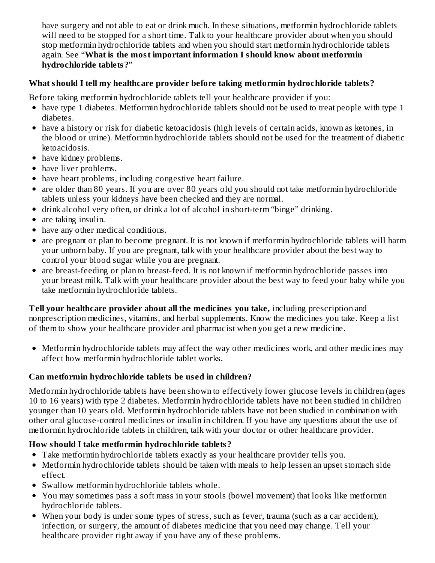have surgery and not able to eat or drink much. In these situations, metformin hydrochloride tablets will need to be stopped for a short time. Talk to your healthcare provider about when you should stop metformin hydrochloride tablets and when you should start metformin hydrochloride tablets again. See "**What is the most important information I should know about metformin hydrochloride tablets?**"

### **What should I tell my healthcare provider before taking metformin hydrochloride tablets?**

Before taking metformin hydrochloride tablets tell your healthcare provider if you:

- have type 1 diabetes. Metformin hydrochloride tablets should not be used to treat people with type 1 diabetes.
- have a history or risk for diabetic ketoacidosis (high levels of certain acids, known as ketones, in the blood or urine). Metformin hydrochloride tablets should not be used for the treatment of diabetic ketoacidosis.
- have kidney problems.
- have liver problems.
- have heart problems, including congestive heart failure.
- are older than 80 years. If you are over 80 years old you should not take metformin hydrochloride tablets unless your kidneys have been checked and they are normal.
- drink alcohol very often, or drink a lot of alcohol in short-term "binge" drinking.
- are taking insulin.
- have any other medical conditions.
- are pregnant or plan to become pregnant. It is not known if metformin hydrochloride tablets will harm your unborn baby. If you are pregnant, talk with your healthcare provider about the best way to control your blood sugar while you are pregnant.
- are breast-feeding or plan to breast-feed. It is not known if metformin hydrochloride passes into your breast milk. Talk with your healthcare provider about the best way to feed your baby while you take metformin hydrochloride tablets.

**Tell your healthcare provider about all the medicines you take,** including prescription and nonprescription medicines, vitamins, and herbal supplements. Know the medicines you take. Keep a list of them to show your healthcare provider and pharmacist when you get a new medicine.

Metformin hydrochloride tablets may affect the way other medicines work, and other medicines may affect how metformin hydrochloride tablet works.

# **Can metformin hydrochloride tablets be us ed in children?**

Metformin hydrochloride tablets have been shown to effectively lower glucose levels in children (ages 10 to 16 years) with type 2 diabetes. Metformin hydrochloride tablets have not been studied in children younger than 10 years old. Metformin hydrochloride tablets have not been studied in combination with other oral glucose-control medicines or insulin in children. If you have any questions about the use of metformin hydrochloride tablets in children, talk with your doctor or other healthcare provider.

#### **How should I take metformin hydrochloride tablets?**

- Take metformin hydrochloride tablets exactly as your healthcare provider tells you.
- Metformin hydrochloride tablets should be taken with meals to help lessen an upset stomach side effect.
- Swallow metformin hydrochloride tablets whole.
- You may sometimes pass a soft mass in your stools (bowel movement) that looks like metformin hydrochloride tablets.
- When your body is under some types of stress, such as fever, trauma (such as a car accident), infection, or surgery, the amount of diabetes medicine that you need may change. Tell your healthcare provider right away if you have any of these problems.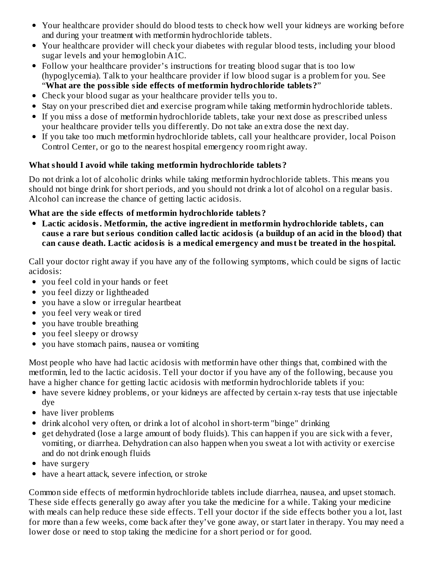- Your healthcare provider should do blood tests to check how well your kidneys are working before and during your treatment with metformin hydrochloride tablets.
- Your healthcare provider will check your diabetes with regular blood tests, including your blood sugar levels and your hemoglobin A1C.
- Follow your healthcare provider's instructions for treating blood sugar that is too low (hypoglycemia). Talk to your healthcare provider if low blood sugar is a problem for you. See "**What are the possible side effects of metformin hydrochloride tablets?**"
- Check your blood sugar as your healthcare provider tells you to.
- Stay on your prescribed diet and exercise program while taking metformin hydrochloride tablets.
- If you miss a dose of metformin hydrochloride tablets, take your next dose as prescribed unless your healthcare provider tells you differently. Do not take an extra dose the next day.
- If you take too much metformin hydrochloride tablets, call your healthcare provider, local Poison Control Center, or go to the nearest hospital emergency room right away.

#### **What should I avoid while taking metformin hydrochloride tablets?**

Do not drink a lot of alcoholic drinks while taking metformin hydrochloride tablets. This means you should not binge drink for short periods, and you should not drink a lot of alcohol on a regular basis. Alcohol can increase the chance of getting lactic acidosis.

#### **What are the side effects of metformin hydrochloride tablets?**

**Lactic acidosis. Metformin, the active ingredient in metformin hydrochloride tablets, can** cause a rare but serious condition called lactic acidosis (a buildup of an acid in the blood) that **can caus e death. Lactic acidosis is a medical emergency and must be treated in the hospital.**

Call your doctor right away if you have any of the following symptoms, which could be signs of lactic acidosis:

- you feel cold in your hands or feet
- you feel dizzy or lightheaded
- you have a slow or irregular heartbeat
- you feel very weak or tired
- you have trouble breathing
- you feel sleepy or drowsy
- you have stomach pains, nausea or vomiting  $\bullet$

Most people who have had lactic acidosis with metformin have other things that, combined with the metformin, led to the lactic acidosis. Tell your doctor if you have any of the following, because you have a higher chance for getting lactic acidosis with metformin hydrochloride tablets if you:

- have severe kidney problems, or your kidneys are affected by certain x-ray tests that use injectable dye
- have liver problems
- drink alcohol very often, or drink a lot of alcohol in short-term "binge" drinking
- get dehydrated (lose a large amount of body fluids). This can happen if you are sick with a fever, vomiting, or diarrhea. Dehydration can also happen when you sweat a lot with activity or exercise and do not drink enough fluids
- have surgery
- have a heart attack, severe infection, or stroke

Common side effects of metformin hydrochloride tablets include diarrhea, nausea, and upset stomach. These side effects generally go away after you take the medicine for a while. Taking your medicine with meals can help reduce these side effects. Tell your doctor if the side effects bother you a lot, last for more than a few weeks, come back after they've gone away, or start later in therapy. You may need a lower dose or need to stop taking the medicine for a short period or for good.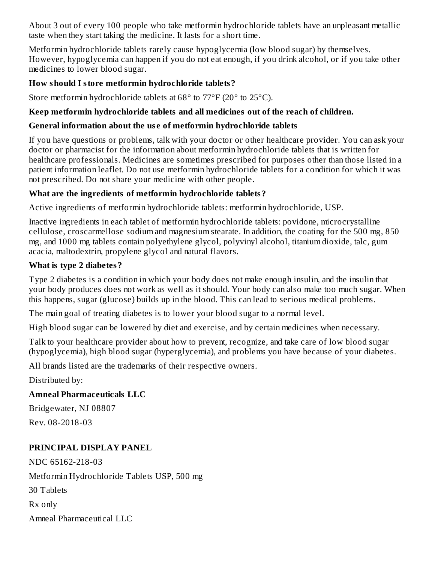About 3 out of every 100 people who take metformin hydrochloride tablets have an unpleasant metallic taste when they start taking the medicine. It lasts for a short time.

Metformin hydrochloride tablets rarely cause hypoglycemia (low blood sugar) by themselves. However, hypoglycemia can happen if you do not eat enough, if you drink alcohol, or if you take other medicines to lower blood sugar.

### **How should I store metformin hydrochloride tablets?**

Store metformin hydrochloride tablets at 68° to 77°F (20° to 25°C).

### **Keep metformin hydrochloride tablets and all medicines out of the reach of children.**

#### **General information about the us e of metformin hydrochloride tablets**

If you have questions or problems, talk with your doctor or other healthcare provider. You can ask your doctor or pharmacist for the information about metformin hydrochloride tablets that is written for healthcare professionals. Medicines are sometimes prescribed for purposes other than those listed in a patient information leaflet. Do not use metformin hydrochloride tablets for a condition for which it was not prescribed. Do not share your medicine with other people.

#### **What are the ingredients of metformin hydrochloride tablets?**

Active ingredients of metformin hydrochloride tablets: metformin hydrochloride, USP.

Inactive ingredients in each tablet of metformin hydrochloride tablets: povidone, microcrystalline cellulose, croscarmellose sodium and magnesium stearate. In addition, the coating for the 500 mg, 850 mg, and 1000 mg tablets contain polyethylene glycol, polyvinyl alcohol, titanium dioxide, talc, gum acacia, maltodextrin, propylene glycol and natural flavors.

#### **What is type 2 diabetes?**

Type 2 diabetes is a condition in which your body does not make enough insulin, and the insulin that your body produces does not work as well as it should. Your body can also make too much sugar. When this happens, sugar (glucose) builds up in the blood. This can lead to serious medical problems.

The main goal of treating diabetes is to lower your blood sugar to a normal level.

High blood sugar can be lowered by diet and exercise, and by certain medicines when necessary.

Talk to your healthcare provider about how to prevent, recognize, and take care of low blood sugar (hypoglycemia), high blood sugar (hyperglycemia), and problems you have because of your diabetes.

All brands listed are the trademarks of their respective owners.

Distributed by:

# **Amneal Pharmaceuticals LLC**

Bridgewater, NJ 08807

Rev. 08-2018-03

# **PRINCIPAL DISPLAY PANEL**

NDC 65162-218-03 Metformin Hydrochloride Tablets USP, 500 mg 30 Tablets Rx only Amneal Pharmaceutical LLC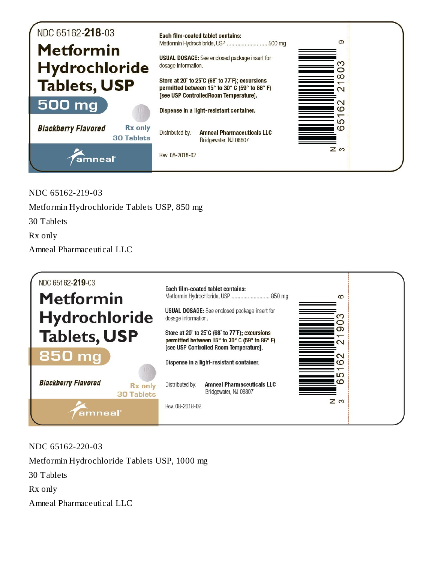

NDC 65162-219-03

Metformin Hydrochloride Tablets USP, 850 mg

30 Tablets

Rx only

Amneal Pharmaceutical LLC



NDC 65162-220-03 Metformin Hydrochloride Tablets USP, 1000 mg 30 Tablets Rx only Amneal Pharmaceutical LLC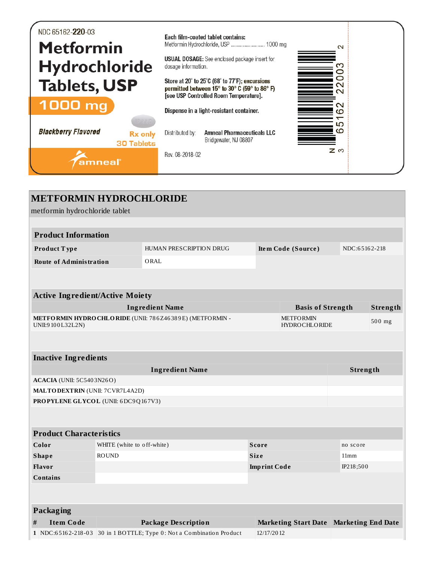| NDC 65162-220-03<br><b>Metformin</b><br><b>Hydrochloride</b> |                                     | dosage information.                                                                                                                                                                                                                  | Each film-coated tablet contains:<br>Metformin Hydrochloride, USP  1000 mg<br><b>USUAL DOSAGE:</b> See enclosed package insert for | $\mathbf{\Omega}$<br>ო<br>っ<br>っ |  |
|--------------------------------------------------------------|-------------------------------------|--------------------------------------------------------------------------------------------------------------------------------------------------------------------------------------------------------------------------------------|------------------------------------------------------------------------------------------------------------------------------------|----------------------------------|--|
| <b>Tablets, USP</b><br>1000 mg                               |                                     | Store at 20° to 25°C (68° to 77°F); excursions<br>$\sim$<br>permitted between 15° to 30° C (59° to 86° F)<br>$\scriptstyle\sim$<br>[see USP Controlled Room Temperature].<br>$\sim$<br>Dispense in a light-resistant container.<br>ထ |                                                                                                                                    |                                  |  |
| <b>Blackberry Flavored</b>                                   | <b>Rx</b> only<br><b>30 Tablets</b> | Distributed by:                                                                                                                                                                                                                      | <b>Amneal Pharmaceuticals LLC</b><br>Bridgewater, NJ 08807                                                                         | ഥ<br>$\Omega$                    |  |
| amneal                                                       |                                     | Rev. 08-2018-02                                                                                                                                                                                                                      |                                                                                                                                    | <b>Z</b> ຕ                       |  |

| <b>METFORMIN HYDROCHLORIDE</b>              |                                                                                                     |                                                                      |              |                                         |               |          |
|---------------------------------------------|-----------------------------------------------------------------------------------------------------|----------------------------------------------------------------------|--------------|-----------------------------------------|---------------|----------|
| metformin hydrochloride tablet              |                                                                                                     |                                                                      |              |                                         |               |          |
|                                             |                                                                                                     |                                                                      |              |                                         |               |          |
| <b>Product Information</b>                  |                                                                                                     |                                                                      |              |                                         |               |          |
| Product Type                                |                                                                                                     | HUMAN PRESCRIPTION DRUG                                              |              | Item Code (Source)                      | NDC:65162-218 |          |
| <b>Route of Administration</b>              |                                                                                                     | ORAL                                                                 |              |                                         |               |          |
|                                             |                                                                                                     |                                                                      |              |                                         |               |          |
| <b>Active Ingredient/Active Moiety</b>      |                                                                                                     |                                                                      |              |                                         |               |          |
|                                             |                                                                                                     | <b>Ingredient Name</b>                                               |              | <b>Basis of Strength</b>                |               | Strength |
| UNII:9100L32L2N)                            | METFORMIN HYDROCHLORIDE (UNII: 786Z46389E) (METFORMIN -<br><b>METFORMIN</b><br><b>HYDROCHLORIDE</b> |                                                                      |              |                                         |               | 500 mg   |
|                                             |                                                                                                     |                                                                      |              |                                         |               |          |
| <b>Inactive Ingredients</b>                 |                                                                                                     |                                                                      |              |                                         |               |          |
|                                             |                                                                                                     | <b>Ingredient Name</b>                                               |              |                                         | Strength      |          |
| <b>ACACIA</b> (UNII: 5C5403N26O)            |                                                                                                     |                                                                      |              |                                         |               |          |
| <b>MALTO DEXTRIN (UNII: 7CVR7L4A2D)</b>     |                                                                                                     |                                                                      |              |                                         |               |          |
| PROPYLENE GLYCOL (UNII: 6DC9Q167V3)         |                                                                                                     |                                                                      |              |                                         |               |          |
|                                             |                                                                                                     |                                                                      |              |                                         |               |          |
| <b>Product Characteristics</b>              |                                                                                                     |                                                                      |              |                                         |               |          |
| Color                                       | WHITE (white to off-white)                                                                          |                                                                      | <b>Score</b> |                                         | no score      |          |
| <b>ROUND</b><br><b>Size</b><br><b>Shape</b> |                                                                                                     |                                                                      | 11mm         |                                         |               |          |
| Flavor                                      | <b>Imprint Code</b>                                                                                 |                                                                      |              | IP218;500                               |               |          |
| <b>Contains</b>                             |                                                                                                     |                                                                      |              |                                         |               |          |
|                                             |                                                                                                     |                                                                      |              |                                         |               |          |
| Packaging                                   |                                                                                                     |                                                                      |              |                                         |               |          |
| #<br><b>Item Code</b>                       |                                                                                                     | <b>Package Description</b>                                           |              | Marketing Start Date Marketing End Date |               |          |
|                                             |                                                                                                     | 1 NDC:65162-218-03 30 in 1 BOTTLE; Type 0: Not a Combination Product | 12/17/2012   |                                         |               |          |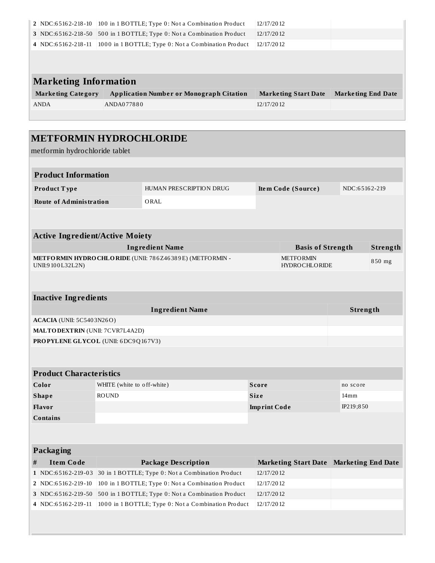|                                                         | 2 NDC:65162-218-10                                                                                                                       |                            | 100 in 1 BOTTLE; Type 0: Not a Combination Product  | 12/17/2012                               |                             |               |                           |  |
|---------------------------------------------------------|------------------------------------------------------------------------------------------------------------------------------------------|----------------------------|-----------------------------------------------------|------------------------------------------|-----------------------------|---------------|---------------------------|--|
|                                                         | 3 NDC:65162-218-50                                                                                                                       |                            | 500 in 1 BOTTLE; Type 0: Not a Combination Product  | 12/17/2012                               |                             |               |                           |  |
|                                                         | 4 NDC:65162-218-11                                                                                                                       |                            | 1000 in 1 BOTTLE; Type 0: Not a Combination Product | 12/17/2012                               |                             |               |                           |  |
|                                                         |                                                                                                                                          |                            |                                                     |                                          |                             |               |                           |  |
|                                                         |                                                                                                                                          |                            |                                                     |                                          |                             |               |                           |  |
|                                                         | <b>Marketing Information</b>                                                                                                             |                            |                                                     |                                          |                             |               |                           |  |
|                                                         | <b>Marketing Category</b><br><b>Application Number or Monograph Citation</b><br><b>Marketing End Date</b><br><b>Marketing Start Date</b> |                            |                                                     |                                          |                             |               |                           |  |
| <b>ANDA</b><br>ANDA077880                               |                                                                                                                                          |                            |                                                     |                                          | 12/17/2012                  |               |                           |  |
|                                                         |                                                                                                                                          |                            |                                                     |                                          |                             |               |                           |  |
|                                                         |                                                                                                                                          |                            |                                                     |                                          |                             |               |                           |  |
|                                                         | <b>METFORMIN HYDROCHLORIDE</b>                                                                                                           |                            |                                                     |                                          |                             |               |                           |  |
|                                                         | metformin hydrochloride tablet                                                                                                           |                            |                                                     |                                          |                             |               |                           |  |
|                                                         |                                                                                                                                          |                            |                                                     |                                          |                             |               |                           |  |
|                                                         | <b>Product Information</b>                                                                                                               |                            |                                                     |                                          |                             |               |                           |  |
|                                                         |                                                                                                                                          |                            |                                                     |                                          |                             |               |                           |  |
|                                                         | Product Type                                                                                                                             |                            | HUMAN PRESCRIPTION DRUG                             |                                          | Item Code (Source)          | NDC:65162-219 |                           |  |
|                                                         | <b>Route of Administration</b>                                                                                                           |                            | ORAL                                                |                                          |                             |               |                           |  |
|                                                         |                                                                                                                                          |                            |                                                     |                                          |                             |               |                           |  |
|                                                         |                                                                                                                                          |                            |                                                     |                                          |                             |               |                           |  |
|                                                         | <b>Active Ingredient/Active Moiety</b>                                                                                                   |                            |                                                     |                                          |                             |               |                           |  |
|                                                         |                                                                                                                                          |                            | <b>Ingredient Name</b>                              |                                          | <b>Basis of Strength</b>    |               | Strength                  |  |
| METFORMIN HYDROCHLORIDE (UNII: 786Z46389E) (METFORMIN - |                                                                                                                                          |                            |                                                     | <b>METFORMIN</b><br><b>HYDROCHLORIDE</b> |                             | 850 mg        |                           |  |
|                                                         | UNII:9100L32L2N)                                                                                                                         |                            |                                                     |                                          |                             |               |                           |  |
|                                                         |                                                                                                                                          |                            |                                                     |                                          |                             |               |                           |  |
|                                                         |                                                                                                                                          |                            |                                                     |                                          |                             |               |                           |  |
|                                                         |                                                                                                                                          |                            |                                                     |                                          |                             |               |                           |  |
|                                                         | <b>Inactive Ingredients</b>                                                                                                              |                            |                                                     |                                          |                             |               |                           |  |
|                                                         |                                                                                                                                          |                            | <b>Ingredient Name</b>                              |                                          |                             | Strength      |                           |  |
|                                                         | <b>ACACIA</b> (UNII: 5C5403N26O)<br><b>MALTODEXTRIN</b> (UNII: 7CVR7L4A2D)                                                               |                            |                                                     |                                          |                             |               |                           |  |
|                                                         | <b>PROPYLENE GLYCOL (UNII: 6DC9Q167V3)</b>                                                                                               |                            |                                                     |                                          |                             |               |                           |  |
|                                                         |                                                                                                                                          |                            |                                                     |                                          |                             |               |                           |  |
|                                                         |                                                                                                                                          |                            |                                                     |                                          |                             |               |                           |  |
|                                                         | <b>Product Characteristics</b>                                                                                                           |                            |                                                     |                                          |                             |               |                           |  |
|                                                         | Color                                                                                                                                    | WHITE (white to off-white) |                                                     | <b>Score</b>                             |                             | no score      |                           |  |
|                                                         | <b>Shape</b>                                                                                                                             | <b>ROUND</b>               |                                                     | Size                                     |                             | 14mm          |                           |  |
|                                                         | Flavor                                                                                                                                   |                            |                                                     | <b>Imprint Code</b>                      |                             | IP219;850     |                           |  |
|                                                         | <b>Contains</b>                                                                                                                          |                            |                                                     |                                          |                             |               |                           |  |
|                                                         |                                                                                                                                          |                            |                                                     |                                          |                             |               |                           |  |
|                                                         |                                                                                                                                          |                            |                                                     |                                          |                             |               |                           |  |
|                                                         | Packaging                                                                                                                                |                            |                                                     |                                          |                             |               |                           |  |
| #                                                       | <b>Item Code</b>                                                                                                                         |                            | <b>Package Description</b>                          |                                          | <b>Marketing Start Date</b> |               | <b>Marketing End Date</b> |  |
|                                                         | 1 NDC:65162-219-03                                                                                                                       |                            | 30 in 1 BOTTLE; Type 0: Not a Combination Product   | 12/17/2012                               |                             |               |                           |  |
|                                                         | 2 NDC:65162-219-10                                                                                                                       |                            | 100 in 1 BOTTLE; Type 0: Not a Combination Product  | 12/17/2012                               |                             |               |                           |  |
|                                                         | 3 NDC:65162-219-50                                                                                                                       |                            | 500 in 1 BOTTLE; Type 0: Not a Combination Product  | 12/17/2012                               |                             |               |                           |  |
|                                                         | 4 NDC:65162-219-11                                                                                                                       |                            | 1000 in 1 BOTTLE; Type 0: Not a Combination Product | 12/17/2012                               |                             |               |                           |  |
|                                                         |                                                                                                                                          |                            |                                                     |                                          |                             |               |                           |  |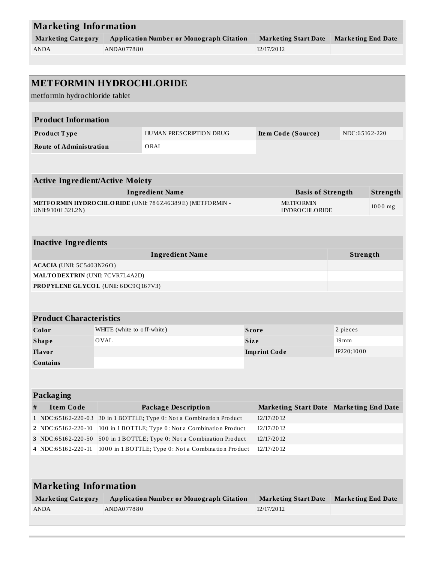| <b>Marketing Information</b> |                                                 |                      |                           |  |  |
|------------------------------|-------------------------------------------------|----------------------|---------------------------|--|--|
| <b>Marketing Category</b>    | <b>Application Number or Monograph Citation</b> | Marketing Start Date | <b>Marketing End Date</b> |  |  |
| <b>ANDA</b>                  | ANDA077880                                      | 12/17/2012           |                           |  |  |
|                              |                                                 |                      |                           |  |  |

| <b>METFORMIN HYDROCHLORIDE</b>         |                              |                                                                  |                     |                                          |                           |           |
|----------------------------------------|------------------------------|------------------------------------------------------------------|---------------------|------------------------------------------|---------------------------|-----------|
| metformin hydrochloride tablet         |                              |                                                                  |                     |                                          |                           |           |
|                                        |                              |                                                                  |                     |                                          |                           |           |
| <b>Product Information</b>             |                              |                                                                  |                     |                                          |                           |           |
| Product Type                           |                              | HUMAN PRESCRIPTION DRUG                                          |                     | Item Code (Source)                       | NDC:65162-220             |           |
| <b>Route of Administration</b>         |                              | ORAL                                                             |                     |                                          |                           |           |
|                                        |                              |                                                                  |                     |                                          |                           |           |
|                                        |                              |                                                                  |                     |                                          |                           |           |
| <b>Active Ingredient/Active Moiety</b> |                              |                                                                  |                     |                                          |                           |           |
|                                        |                              | <b>Ingredient Name</b>                                           |                     | <b>Basis of Strength</b>                 |                           | Strength  |
| UNII:9100L32L2N)                       |                              | METFORMIN HYDROCHLORIDE (UNII: 786Z46389E) (METFORMIN -          |                     | <b>METFORMIN</b><br><b>HYDROCHLORIDE</b> |                           | $1000$ mg |
|                                        |                              |                                                                  |                     |                                          |                           |           |
|                                        |                              |                                                                  |                     |                                          |                           |           |
| <b>Inactive Ingredients</b>            |                              |                                                                  |                     |                                          |                           |           |
|                                        |                              | <b>Ingredient Name</b>                                           |                     |                                          | Strength                  |           |
| <b>ACACIA</b> (UNII: 5C5403N26O)       |                              |                                                                  |                     |                                          |                           |           |
| <b>MALTODEXTRIN</b> (UNII: 7CVR7L4A2D) |                              |                                                                  |                     |                                          |                           |           |
| PROPYLENE GLYCOL (UNII: 6DC9Q167V3)    |                              |                                                                  |                     |                                          |                           |           |
|                                        |                              |                                                                  |                     |                                          |                           |           |
|                                        |                              |                                                                  |                     |                                          |                           |           |
| <b>Product Characteristics</b>         |                              |                                                                  |                     |                                          |                           |           |
| Color                                  | WHITE (white to off-white)   |                                                                  | <b>Score</b>        |                                          | 2 pieces                  |           |
| <b>Shape</b>                           | <b>OVAL</b>                  |                                                                  | <b>Size</b>         |                                          | $19 \,\mathrm{mm}$        |           |
| Flavor                                 |                              |                                                                  | <b>Imprint Code</b> |                                          | IP220;1000                |           |
| <b>Contains</b>                        |                              |                                                                  |                     |                                          |                           |           |
|                                        |                              |                                                                  |                     |                                          |                           |           |
|                                        |                              |                                                                  |                     |                                          |                           |           |
| <b>Packaging</b>                       |                              |                                                                  |                     |                                          |                           |           |
| <b>Item Code</b><br>#                  |                              | <b>Package Description</b>                                       |                     | Marketing Start Date Marketing End Date  |                           |           |
| 1 NDC:65162-220-03                     |                              | 30 in 1 BOTTLE; Type 0: Not a Combination Product                | 12/17/2012          |                                          |                           |           |
| 2 NDC:65162-220-10                     |                              | 100 in 1 BOTTLE; Type 0: Not a Combination Product<br>12/17/2012 |                     |                                          |                           |           |
| 3 NDC:65162-220-50                     |                              | 500 in 1 BOTTLE; Type 0: Not a Combination Product<br>12/17/2012 |                     |                                          |                           |           |
| 4 NDC:65162-220-11                     |                              | 1000 in 1 BOTTLE; Type 0: Not a Combination Product              | 12/17/2012          |                                          |                           |           |
|                                        |                              |                                                                  |                     |                                          |                           |           |
|                                        |                              |                                                                  |                     |                                          |                           |           |
|                                        |                              |                                                                  |                     |                                          |                           |           |
| <b>Marketing Category</b>              | <b>Marketing Information</b> | <b>Application Number or Monograph Citation</b>                  |                     | <b>Marketing Start Date</b>              | <b>Marketing End Date</b> |           |